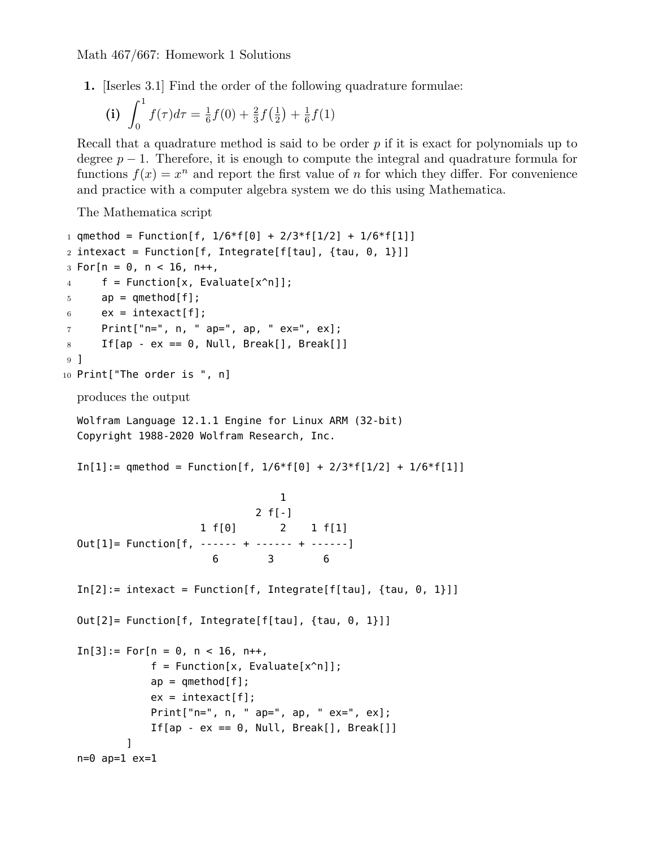**1.** [Iserles 3.1] Find the order of the following quadrature formulae:

(i) 
$$
\int_0^1 f(\tau)d\tau = \frac{1}{6}f(0) + \frac{2}{3}f(\frac{1}{2}) + \frac{1}{6}f(1)
$$

Recall that a quadrature method is said to be order *p* if it is exact for polynomials up to degree  $p-1$ . Therefore, it is enough to compute the integral and quadrature formula for functions  $f(x) = x^n$  and report the first value of *n* for which they differ. For convenience and practice with a computer algebra system we do this using Mathematica.

The Mathematica script

```
1 qmethod = Function[f, 1/6*f[0] + 2/3*f[1/2] + 1/6*f[1]]
2 intexact = Function[f, Integrate[f[tau], {tau, 0, 1}]]
3 For[n = 0, n < 16, n++4 f = Function[x, Evaluate[x^n]];
5 ap = qmethod[f];
6 \qquad ex = \text{intexact}[f];7 Print["n=", n, " ap=", ap, " ex=", ex];
8 If[ap - ex == 0, Null, Break[], Break[]]
9 ]
10 Print["The order is ", n]
  produces the output
  Wolfram Language 12.1.1 Engine for Linux ARM (32-bit)
  Copyright 1988-2020 Wolfram Research, Inc.
  In[1]: = qmethod = Function[f, 1/6*f[0] + 2/3*f[1/2] + 1/6*f[1]]1
                              2 f[-]
                     1 f[0] 2 1 f[1]
  Out[1]= Function[f, ------ + ------ + ------]
                        6 3 6
  In[2]:= intexact = Function[f, Integrate[f[tau], {tau, 0, 1}]]
  Out[2]= Function[f, Integrate[f[tau], {tau, 0, 1}]]
  In[3]: = For[n = 0, n < 16, n++,f = Function[x, Evaluate[x^n]];
             ap = qmethod[f];ex = intexact[f];
              Print["n=", n, " ap=", ap, " ex=", ex];
              If[ap - ex == 0, Null, Break[], Break[]]
          ]
  n=0 ap=1 ex=1
```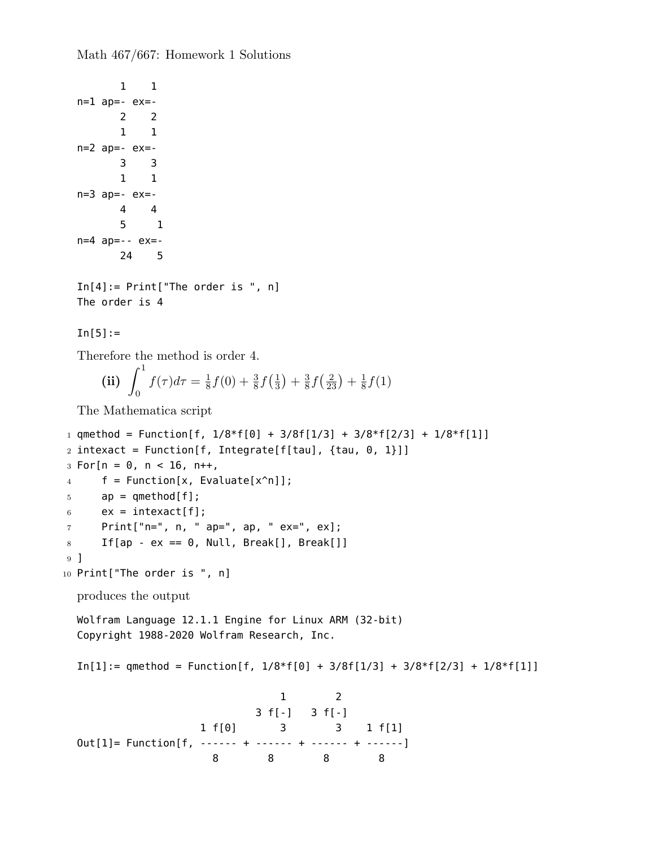```
1 1
  n=1 ap=- ex=-2 2
         1 1
  n=2 ap=- ex=-
         3 3
         1 1
  n=3 ap=- ex=-4 4
         5 1
  n=4 ap=-- ex=-
         24 5
  In[4]:= Print["The order is ", n]
  The order is 4
  In[5]:=Therefore the method is order 4.
      (iii) \int_1^10
               f(\tau)d\tau=\frac{1}{8}\frac{1}{8}f(0) + \frac{3}{8}f(\frac{1}{3})(\frac{1}{3}) + \frac{3}{8}\frac{3}{8}f(\frac{2}{23}) + \frac{1}{8}\frac{1}{8}f(1)The Mathematica script
_1 qmethod = Function[f, 1/8*f[0] + 3/8f[1/3] + 3/8*f[2/3] + 1/8*f[1]]
2 intexact = Function[f, Integrate[f[tau], {tau, 0, 1}]]
3 \text{ For } [n = 0, n < 16, n++,4 f = Function[x, Evaluate[x^n]];
5 ap = qmethod[f];
6 \qquad ex = \text{intexact}[f];7 Print["n=", n, " ap=", ap, " ex=", ex];
8 If[ap - ex == 0, Null, Break[], Break[]]
9 ]
10 Print["The order is ", n]
  produces the output
  Wolfram Language 12.1.1 Engine for Linux ARM (32-bit)
  Copyright 1988-2020 Wolfram Research, Inc.
  In[1]: qmethod = Function[f, 1/8*f[0] + 3/8f[1/3] + 3/8*f[2/3] + 1/8*f[1]]
                                     1 2
                                 3 f[-] 3 f[-]
                       1 f[0] 3 3 1 f[1]
  Out[1]= Function[f, ------ + ------ + ------ + ------]
                         8 8 8 8
```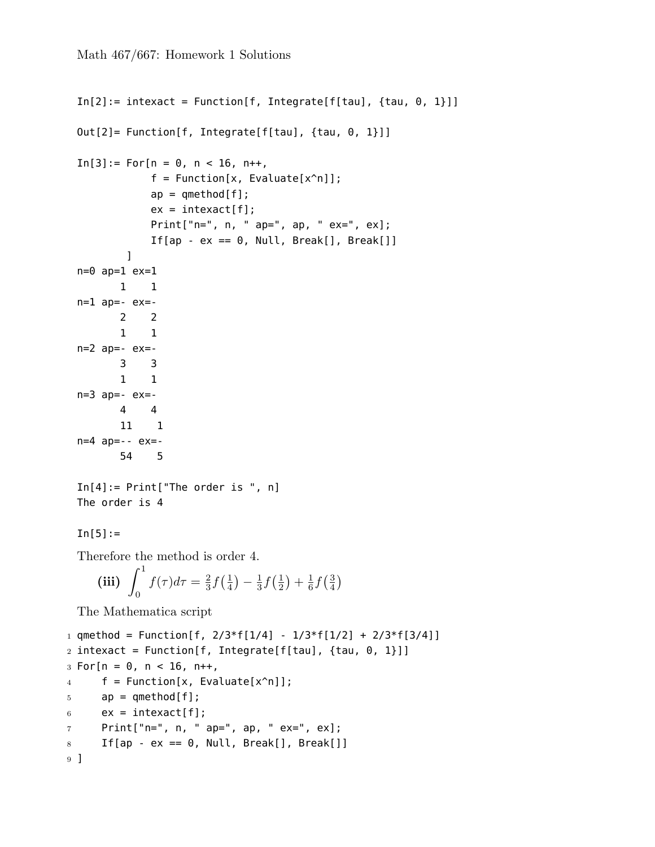```
In[2]: = intexact = Function[f, Integrate[f[tau], {tau, 0, 1}]]
  Out[2]= Function[f, Integrate[f[tau], {tau, 0, 1}]]
  In[3]: = For[n = 0, n < 16, n++,f = Function[x, Evaluate[x^n]];ap = qmethod[f];ex = interest[f];Print["n=", n, " ap=", ap, " ex=", ex];
                If[ap - ex == 0, Null, Break[], Break[]]
           \mathbf{I}n=0 ap=1 ex=1
          1 1
  n=1 ap=- ex=-2 2
          1 1
  n=2 ap=- ex=-
          3 3
          1 1
  n=3 ap=- ex=-4 4
          11 1
  n=4 ap=-- ex=-
          54 5
  In[4]:= Print["The order is ", n]
  The order is 4
  In[5]:=Therefore the method is order 4.
      (iii) \int_1^10
               f(\tau)d\tau=\frac{2}{3}\frac{2}{3} f(\frac{1}{4})(\frac{1}{4}) - \frac{1}{3}rac{1}{3}f(\frac{1}{2})(\frac{1}{2}) + \frac{1}{6}\frac{1}{6} f\left(\frac{3}{4}\right)\frac{3}{4}The Mathematica script
1 qmethod = Function[f, 2/3*f[1/4] - 1/3*f[1/2] + 2/3*f[3/4]]
2 intexact = Function[f, Integrate[f[tau], {tau, 0, 1}]]
3 For[n = 0, n < 16, n++4 f = Function[x, Evaluate[x^n]];
5 ap = qmethod[f];
6 \qquad ex = \text{intexact}[f];7 Print["n=", n, " ap=", ap, " ex=", ex];
8 If[ap - ex == 0, Null, Break[], Break[]]
9 ]
```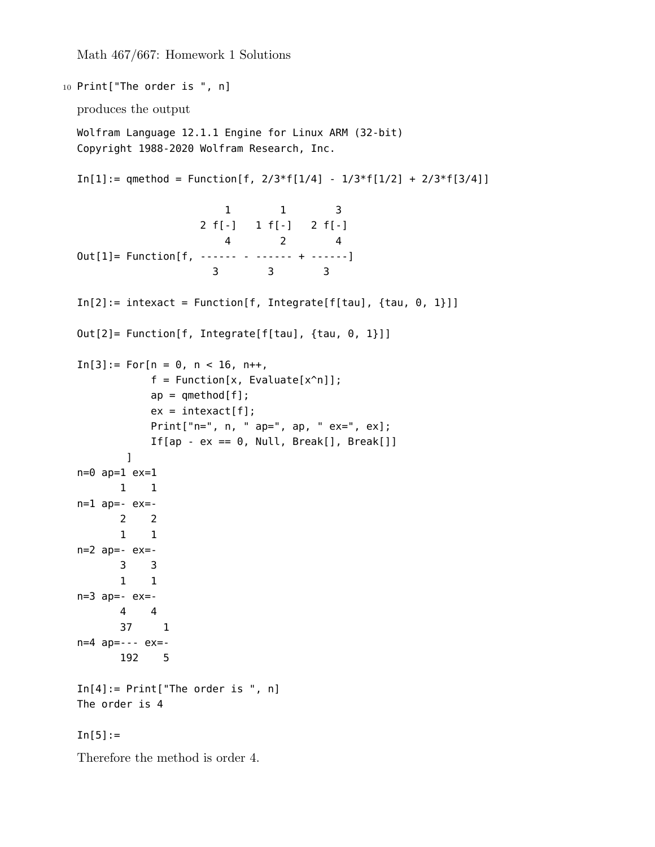```
10 Print["The order is ", n]
  produces the output
  Wolfram Language 12.1.1 Engine for Linux ARM (32-bit)
  Copyright 1988-2020 Wolfram Research, Inc.
  In[1]: = qmethod = Function[f, 2/3*f[1/4] - 1/3*f[1/2] + 2/3*f[3/4]]
                         1 1 3
                    2 f[-] 1 f[-] 2 f[-]
                        4 2 4
 Out[1]= Function[f, ------ - ------ + ------]
                      3 3 3
  In[2]: = intexact = Function[f, Integrate[f[tau], {tau, 0, 1}]]
  Out[2]= Function[f, Integrate[f[tau], {tau, 0, 1}]]
  In[3]:= For[n = 0, n < 16, n++,f = Function[x, Evaluate[x^n]];
             ap = qmethod[f];ex = interest[f];Print["n=", n, " ap=", ap, " ex=", ex];
             If[ap - ex == 0, Null, Break[], Break[]]
         \mathbf{l}n=0 ap=1 ex=1
        1 1
  n=1 ap=- ex=-2 2
        1 1
  n=2 ap=- ex=-3 3
        1 1
  n=3 ap=- ex=-4 4
        37 1
  n=4 ap=--- ex=-
        192 5
  In[4]:= Print["The order is ", n]
  The order is 4
  In[5]:=Therefore the method is order 4.
```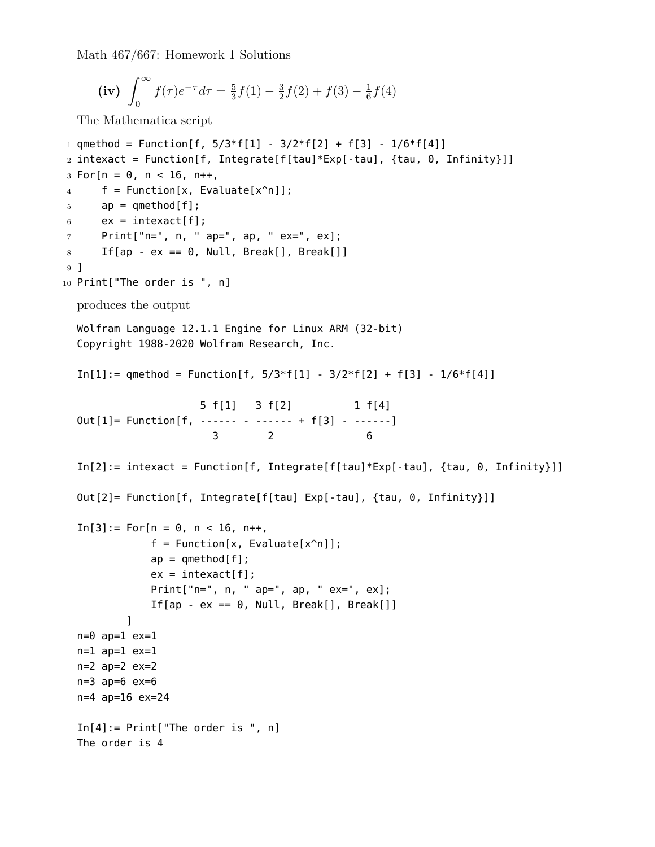```
(iv) \int_{0}^{\infty}0
                        f(\tau)e^{-\tau}d\tau = \frac{5}{3}\frac{5}{3}f(1) - \frac{3}{2}\frac{3}{2}f(2) + f(3) - \frac{1}{6}\frac{1}{6}f(4)
```
The Mathematica script

```
1 qmethod = Function[f, 5/3*f[1] - 3/2*f[2] + f[3] - 1/6*f[4]]
2 intexact = Function[f, Integrate[f[tau]*Exp[-tau], {tau, 0, Infinity}]]
3 For[n = 0, n < 16, n++4 f = Function[x, Evaluate[x^n]];
5 ap = qmethod[f];
6 \qquad ex = \text{intexact}[f];7 Print["n=", n, " ap=", ap, " ex=", ex];
8 If[ap - ex == 0, Null, Break[], Break[]]
9 ]
10 Print["The order is ", n]
  produces the output
  Wolfram Language 12.1.1 Engine for Linux ARM (32-bit)
  Copyright 1988-2020 Wolfram Research, Inc.
  In[1]: = qmethod = Function[f, 5/3*f[1] - 3/2*f[2] + f[3] - 1/6*f[4]]
                     5 f[1] 3 f[2] 1 f[4]
  Out[1]= Function[f, ------ - ------ + f[3] - ------]
                       3 2 6
  In[2]: intexact = Function[f, Integrate[f[tau]*Exp[-tau], {tau, 0, Infinity}]]
  Out[2]= Function[f, Integrate[f[tau] Exp[-tau], {tau, 0, Infinity}]]
  In[3]:= For[n = 0, n < 16, n++,f = Function[x, Evaluate[x^n]];ap = qmethod[f];ex = intexact[f];
              Print["n=", n, " ap=", ap, " ex=", ex];
              If[ap - ex == \theta, Null, Break[], Break[]]
          ]
  n=0 ap=1 ex=1
  n=1 ap=1 ex=1
  n=2 ap=2 ex=2n=3 ap=6 ex=6
  n=4 ap=16 ex=24
  In[4]:= Print["The order is ", n]
  The order is 4
```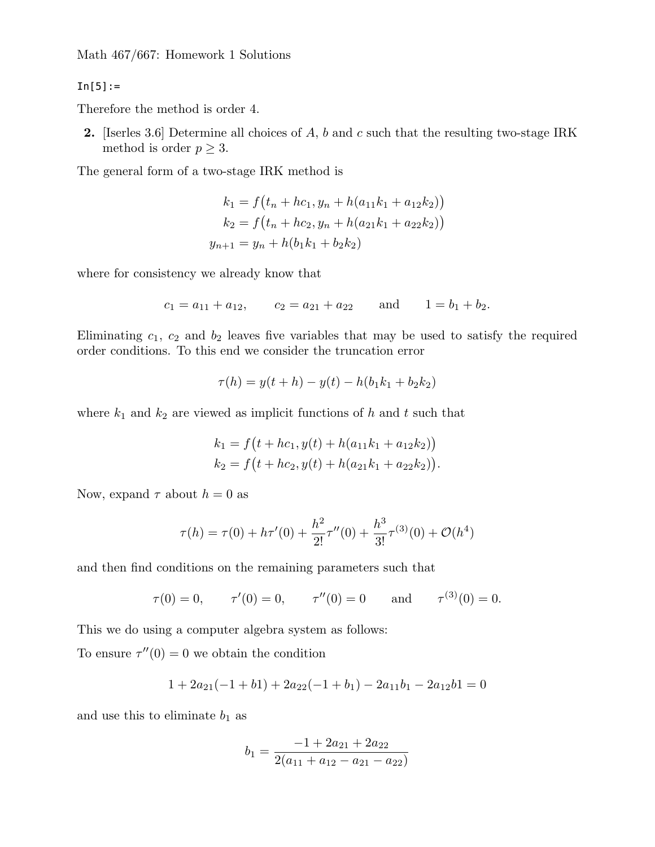$In[5]:=$ 

Therefore the method is order 4.

**2.** [Iserles 3.6] Determine all choices of *A*, *b* and *c* such that the resulting two-stage IRK method is order  $p \geq 3$ .

The general form of a two-stage IRK method is

$$
k_1 = f(t_n + hc_1, y_n + h(a_{11}k_1 + a_{12}k_2))
$$
  
\n
$$
k_2 = f(t_n + hc_2, y_n + h(a_{21}k_1 + a_{22}k_2))
$$
  
\n
$$
y_{n+1} = y_n + h(b_1k_1 + b_2k_2)
$$

where for consistency we already know that

$$
c_1 = a_{11} + a_{12}
$$
,  $c_2 = a_{21} + a_{22}$  and  $1 = b_1 + b_2$ .

Eliminating  $c_1$ ,  $c_2$  and  $b_2$  leaves five variables that may be used to satisfy the required order conditions. To this end we consider the truncation error

$$
\tau(h) = y(t + h) - y(t) - h(b_1k_1 + b_2k_2)
$$

where  $k_1$  and  $k_2$  are viewed as implicit functions of  $h$  and  $t$  such that

$$
k_1 = f(t + hc_1, y(t) + h(a_{11}k_1 + a_{12}k_2))
$$
  
\n
$$
k_2 = f(t + hc_2, y(t) + h(a_{21}k_1 + a_{22}k_2)).
$$

Now, expand  $\tau$  about  $h = 0$  as

$$
\tau(h) = \tau(0) + h\tau'(0) + \frac{h^2}{2!}\tau''(0) + \frac{h^3}{3!}\tau^{(3)}(0) + \mathcal{O}(h^4)
$$

and then find conditions on the remaining parameters such that

$$
\tau(0) = 0,
$$
  $\tau'(0) = 0,$   $\tau''(0) = 0$  and  $\tau^{(3)}(0) = 0.$ 

This we do using a computer algebra system as follows:

To ensure  $\tau''(0) = 0$  we obtain the condition

$$
1 + 2a_{21}(-1 + b1) + 2a_{22}(-1 + b_1) - 2a_{11}b_1 - 2a_{12}b1 = 0
$$

and use this to eliminate  $b_1$  as

$$
b_1 = \frac{-1 + 2a_{21} + 2a_{22}}{2(a_{11} + a_{12} - a_{21} - a_{22})}
$$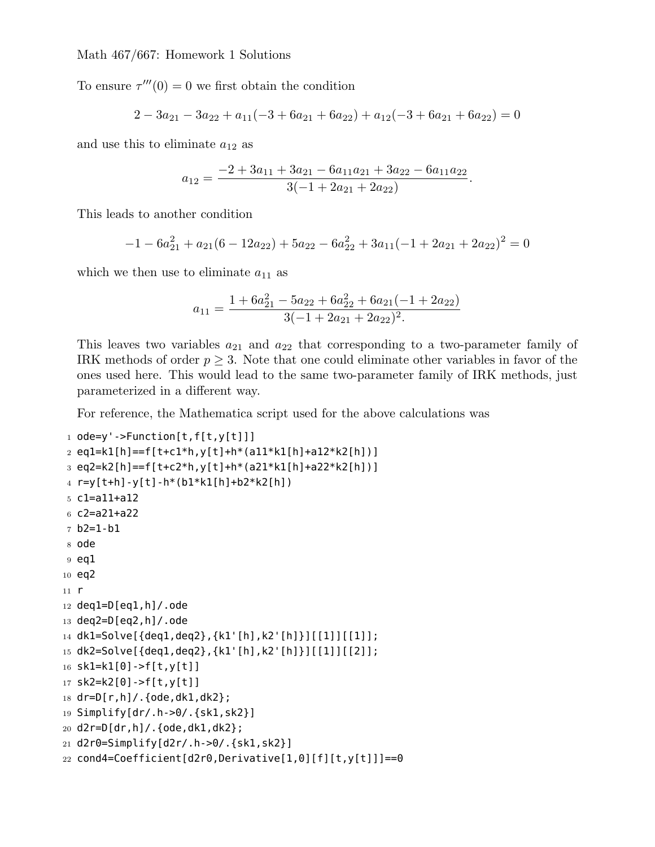To ensure  $\tau'''(0) = 0$  we first obtain the condition

$$
2 - 3a_{21} - 3a_{22} + a_{11}(-3 + 6a_{21} + 6a_{22}) + a_{12}(-3 + 6a_{21} + 6a_{22}) = 0
$$

and use this to eliminate *a*<sup>12</sup> as

$$
a_{12} = \frac{-2 + 3a_{11} + 3a_{21} - 6a_{11}a_{21} + 3a_{22} - 6a_{11}a_{22}}{3(-1 + 2a_{21} + 2a_{22})}.
$$

This leads to another condition

$$
-1 - 6a_{21}^2 + a_{21}(6 - 12a_{22}) + 5a_{22} - 6a_{22}^2 + 3a_{11}(-1 + 2a_{21} + 2a_{22})^2 = 0
$$

which we then use to eliminate  $a_{11}$  as

$$
a_{11} = \frac{1 + 6a_{21}^2 - 5a_{22} + 6a_{22}^2 + 6a_{21}(-1 + 2a_{22})}{3(-1 + 2a_{21} + 2a_{22})^2}.
$$

This leaves two variables  $a_{21}$  and  $a_{22}$  that corresponding to a two-parameter family of IRK methods of order  $p \geq 3$ . Note that one could eliminate other variables in favor of the ones used here. This would lead to the same two-parameter family of IRK methods, just parameterized in a different way.

For reference, the Mathematica script used for the above calculations was

```
1 ode=y'->Function[t,f[t,y[t]]]
2 eq1=k1[h]==f[t+c1*h,y[t]+h*(a11*k1[h]+a12*k2[h])]
3 eq2=k2[h]==f[t+c2*h,y[t]+h*(a21*k1[h]+a22*k2[h])]
4 r=y[t+h]-y[t]-h*(b1*k1[h]+b2*k2[h])
5 c1=a11+a12
6 c2=a21+a22
7 b2=1-b1
8 ode
9 eq1
10 eq2
11 r
12 deq1=D[eq1,h]/.ode
13 deq2=D[eq2,h]/.ode
14 dk1=Solve[{deq1,deq2},{k1'[h],k2'[h]}][[1]][[1]];
15 dk2=Solve[{deq1,deq2},{k1'[h],k2'[h]}][[1]][[2]];
16 sk1=k1[0]->f[t,y[t]]
17 sk2=k2[0]->f[t,y[t]]
18 dr=D[r,h]/.{ode,dk1,dk2};
19 Simplify[dr/.h->0/.{sk1,sk2}]
20 d2r=D[dr,h]/.{ode,dk1,dk2};
21 d2r0=Simplify[d2r/.h->0/.{sk1,sk2}]
22 cond4=Coefficient[d2r0,Derivative[1,0][f][t,y[t]]]=0
```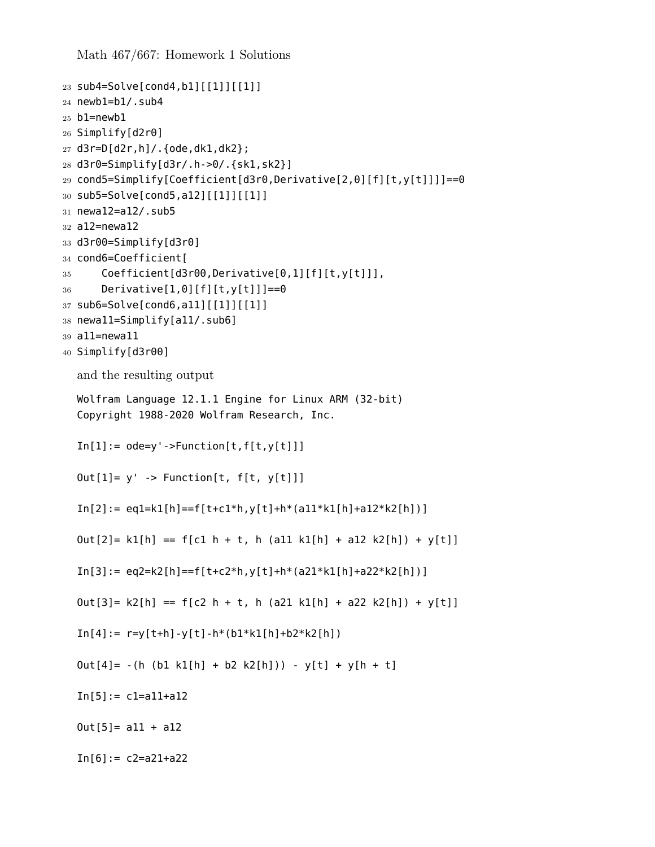```
23 sub4=Solve[cond4,b1][[1]][[1]]
24 newb1=b1/.sub4
25 b1=newb1
26 Simplify[d2r0]
27 d3r=D[d2r,h]/.{ode,dk1,dk2};
28 d3r0=Simplify[d3r/.h->0/.{sk1,sk2}]
29 cond5=Simplify[Coefficient[d3r0,Derivative[2,0][f][t,y[t]]]]==0
30 sub5=Solve[cond5,a12][[1]][[1]]
31 newa12=a12/.sub5
32 a12=newa12
33 d3r00=Simplify[d3r0]
34 cond6=Coefficient[
35 Coefficient[d3r00,Derivative[0,1][f][t,y[t]]],
36 Derivative[1,0][f][t,y[t]]]==0
37 sub6=Solve[cond6,a11][[1]][[1]]
38 newa11=Simplify[a11/.sub6]
39 a11=newa11
40 Simplify[d3r00]
  and the resulting output
  Wolfram Language 12.1.1 Engine for Linux ARM (32-bit)
  Copyright 1988-2020 Wolfram Research, Inc.
  In[1]:=ode=y'-\rightarrow Function[t,f[t,y[t]]]Out[1] = y' -> Function[t, f[t, y[t]]]In[2]:= eq1=k1[h] == f[t+c1*h, y[t]+h*(a11*k1[h]+a12*k2[h])]Out[2] = k1[h] == f[cl h + t, h (all k1[h] + a12 k2[h]) + y[t]]In[3]: = eq2=k2[h] == f[t+c2*h, y[t]+h*(a21*k1[h]+a22*k2[h])]Out[3] = k2[h] == f[c2 h + t, h (a21 k1[h] + a22 k2[h]) + y[t]]In[4]: = r=y[t+h]-y[t]-h*(b1*k1[h]+b2*k2[h])Out[4] = -(h (b1 k1[h] + b2 k2[h])) - y[t] + y[h + t]In[5]: = C1 = a11 + a120ut[5] = a11 + a12In[6]: = c2=a21+a22
```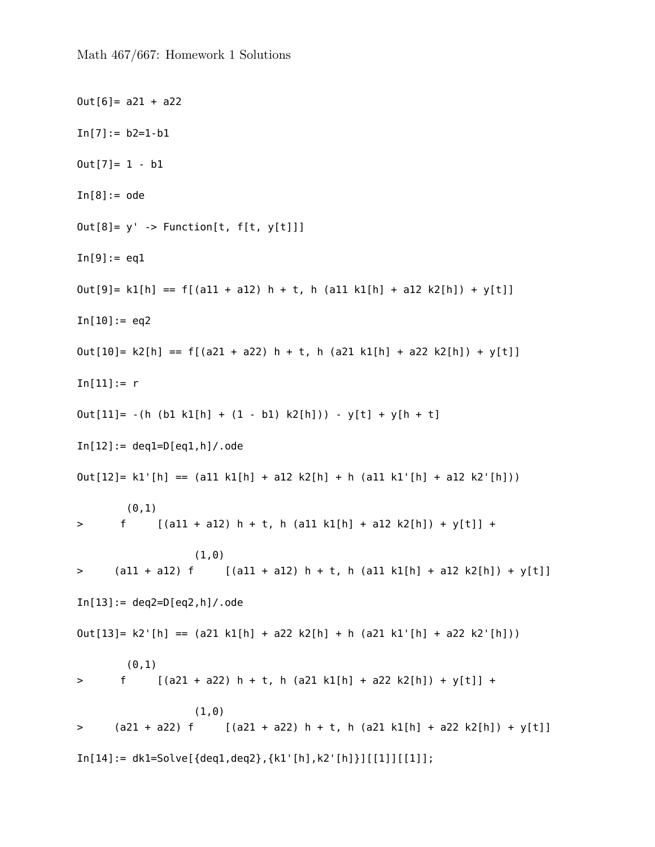```
0ut[6] = a21 + a22In[7]:= b2=1-b10ut[7] = 1 - b1In[8]:=odeOut[8] = y' -> Function[t, f[t, y[t]]]
In[9]:= eq1Out[9] = k1[h] == f[(a11 + a12) h + t, h (a11 k1[h] + a12 k2[h]) + y[t]]In[10]:= eq2Out[10]= k2[h] == f[(a21 + a22) h + t, h (a21 k1[h] + a22 k2[h]) + y[t]]
In[11]:= rOut[11] = -(h (b1 k1[h] + (1 - b1) k2[h])) - y[t] + y[h + t]In[12]:= deq1=D[eq1,h]/.ode
Out[12] = k1'[h] == (all k1[h] + al2 k2[h] + h (all k1'[h] + al2 k2'[h]))
       (0,1)> f [(a11 + a12) h + t, h (a11 k1[h] + a12 k2[h]) + y[t]] +
                  (1,0)
> (all + al2) f [(all + al2) h + t, h (all k1[h] + al2 k2[h]) + y[t]]
In [13]: = deg2 = D[eq2, h]/.odeOut[13] = k2' [h] == (a21 k1[h] + a22 k2[h] + h (a21 k1'[h] + a22 k2'[h]))(0,1)> f [(a21 + a22) h + t, h (a21 k1[h] + a22 k2[h]) + y[t]] +
                  (1,0)
> (a21 + a22) f [(a21 + a22) h + t, h (a21 k1[h] + a22 k2[h]) + y[t]]
In[14]:= dk1=Solve[{deq1,deq2},{k1'[h],k2'[h]}][[1]][[1]];
```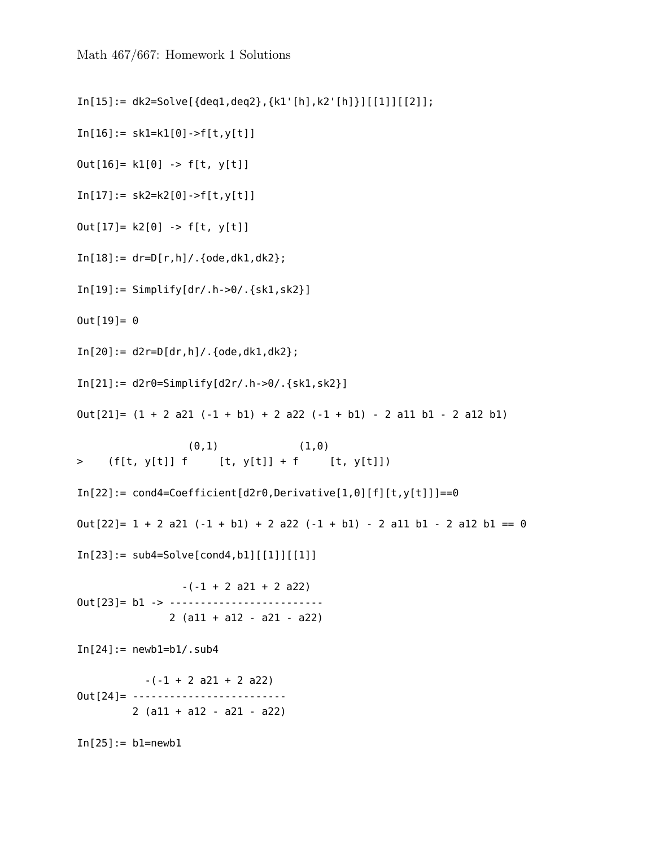```
In[15]:= dk2=Solve[{deq1,deq2},{k1'[h],k2'[h]}][[1]][[2]];
In[16]:= sk1=k1[0]->f[t,y[t]]Out[16] = k1[0] \rightarrow f[t, y[t]]In[17]:= sk2=k2[0]-f[t,y[t]]Out[17] = k2[0] \rightarrow f[t, y[t]]In[18]: = dr = D[r,h]/.{ode,dk1,dk2};
In[19]: = Simplify[dr/.h->0/.{}sk1,sk2]0ut[19] = 0In[20]:= d2r=D[dr,h]/.{ode,dk1,dk2};
In[21]:= d2r0=Simplify[d2r/.h->0/.{sk1,sk2}]
Out[21] = (1 + 2 a21 (-1 + b1) + 2 a22 (-1 + b1) - 2 a11 b1 - 2 a12 b1)(0,1) (1,0)> (f[t, y[t]] f [t, y[t]] + f [t, y[t]])
In[22]:= cond4=Coefficient[d2r0,Derivative[1,0][f][t,y[t]]]=0Out[22] = 1 + 2 a21 (-1 + b1) + 2 a22 (-1 + b1) - 2 a11 b1 - 2 a12 b1 == 0In[23]: = sub4=Solve[cond4, b1] [[1]] [[1]]]-(-1 + 2 a21 + 2 a22)Out[23]= b1 -> -------------------------
              2 (a11 + a12 - a21 - a22)
In[24]:= newbl=b1/.sub4-(-1 + 2 a21 + 2 a22)Out[24]= -------------------------
        2 (a11 + a12 - a21 - a22)
In[25]:= b1=newb1
```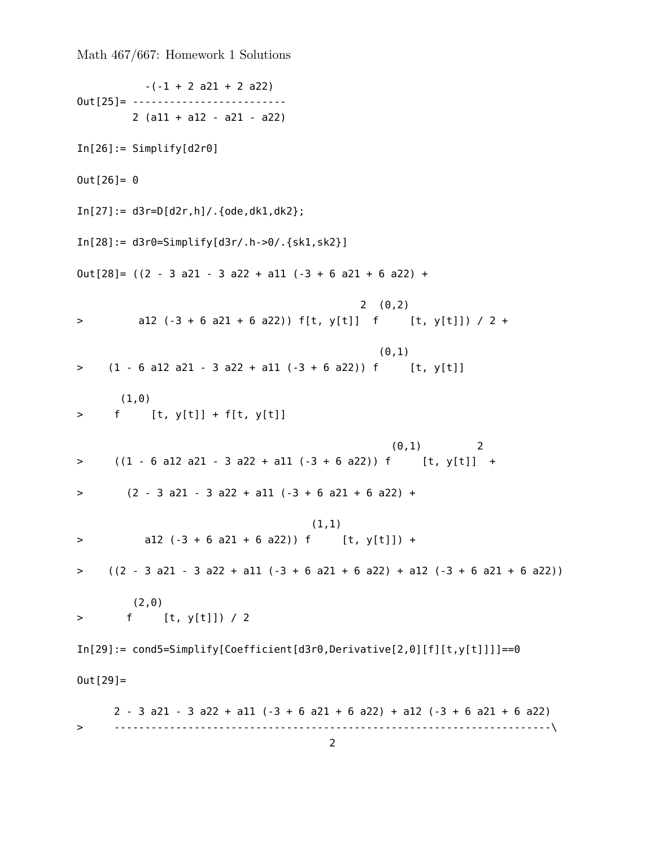```
-(-1 + 2 a21 + 2 a22)0ut<sup>[25]</sup> = ---------------------------
        2 (a11 + a12 - a21 - a22)
In[26]:= Simplify[d2r0]0ut[26] = 0In[27]:= d3r=D[d2r,h]/.{ode,dk1,dk2};
In[28]:= d3r0=Simplify[d3r/.h->0/.{sk1,sk2}]
Out[28] = ((2 - 3 a21 - 3 a22 + a11 (-3 + 6 a21 + 6 a22) +2(0,2)> al2 (-3 + 6 a21 + 6 a22)) f[t, y[t]] f [t, y[t]]) / 2 +
                                             (0,1)
> (1 - 6 al2 a21 - 3 a22 + al1 (-3 + 6 a22)) f [t, y[t]]
      (1,0)
> f [t, y[t]] + f[t, y[t]]
                                                (0,1) 2
> ((1 - 6 al2 a21 - 3 a22 + al1 (-3 + 6 a22)) f [t, y[t]] +
> (2 - 3 a21 - 3 a22 + a11 (-3 + 6 a21 + 6 a22) +
                                    (1,1)
> a12 (-3 + 6 a21 + 6 a22)) f [t, y[t]]) +
> ((2 - 3 a21 - 3 a22 + a11 (-3 + 6 a21 + 6 a22) + a12 (-3 + 6 a21 + 6 a22))(2,0)
> f [t, y[t]]) / 2
In [29]: = cond5=Simplify [Coefficient [d3r0, Derivative[2,0][f][t,y[t]]]] == 00ut[29]=
     2 - 3 a21 - 3 a22 + a11 (-3 + 6 a21 + 6 a22) + a12 (-3 + 6 a21 + 6 a22)
> -----------------------------------------------------------------------\
```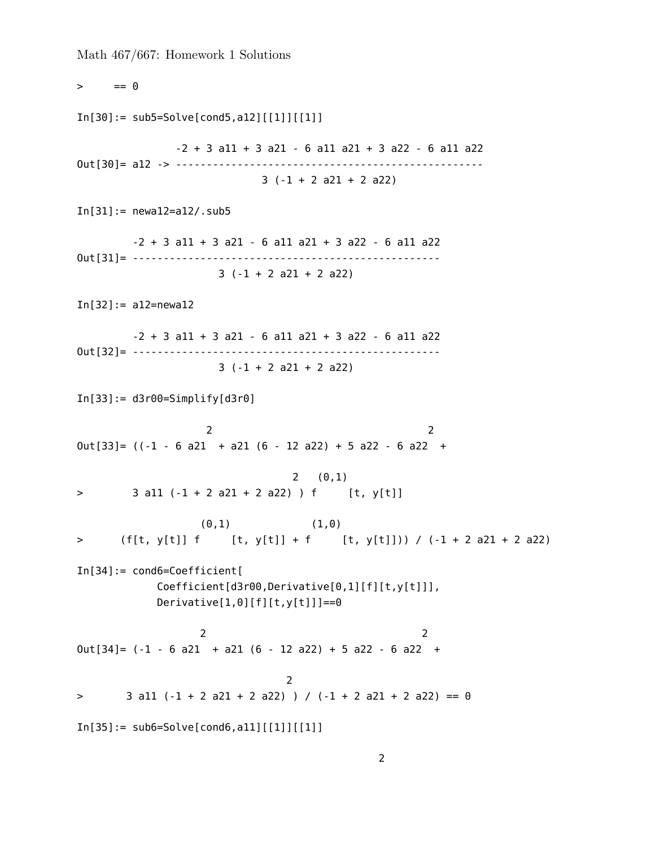Math 467/667: Homework 1 Solutions  $>$  == 0 In[30]:= sub5=Solve[cond5,a12][[1]][[1]]  $-2 + 3$  all  $+ 3$  a2l  $- 6$  all a2l  $+ 3$  a22  $- 6$  all a22 Out[30]= a12 -> -------------------------------------------------- 3 (-1 + 2 a21 + 2 a22) In[31]:= newa12=a12/.sub5  $-2 + 3$  all  $+ 3$  a2l  $- 6$  all a2l  $+ 3$  a22  $- 6$  all a22 Out[31]= -------------------------------------------------- 3 (-1 + 2 a21 + 2 a22) In[32]:= a12=newa12  $-2 + 3$  all  $+ 3$  a2l  $- 6$  all a2l  $+ 3$  a22  $- 6$  all a22 Out[32]= -------------------------------------------------- 3 (-1 + 2 a21 + 2 a22)  $In[33]:= d3r00 = Simply [d3r0]$ 2 2  $Out[33] = ((-1 - 6 a21 + a21 (6 - 12 a22) + 5 a22 - 6 a22 +$  $2(0,1)$  $>$  3 all  $(-1 + 2$  a2l  $+ 2$  a22)  $)$  f [t, y[t]]  $(0,1)$   $(1,0)$ > (f[t, y[t]] f [t, y[t]] + f [t, y[t]])) / (-1 + 2 a21 + 2 a22) In[34]:= cond6=Coefficient[ Coefficient[d3r00,Derivative[0,1][f][t,y[t]]],  $Derivative[1,0][f][t,y[t]]]=0$ 2 2  $Out[34] = (-1 - 6 a21 + a21 (6 - 12 a22) + 5 a22 - 6 a22 +$ 2  $>$  3 all  $(-1 + 2 a21 + 2 a22)$  ) /  $(-1 + 2 a21 + 2 a22) = 0$  $In[35]: = sub6 = Solve[cond6, a11][[1]][1]$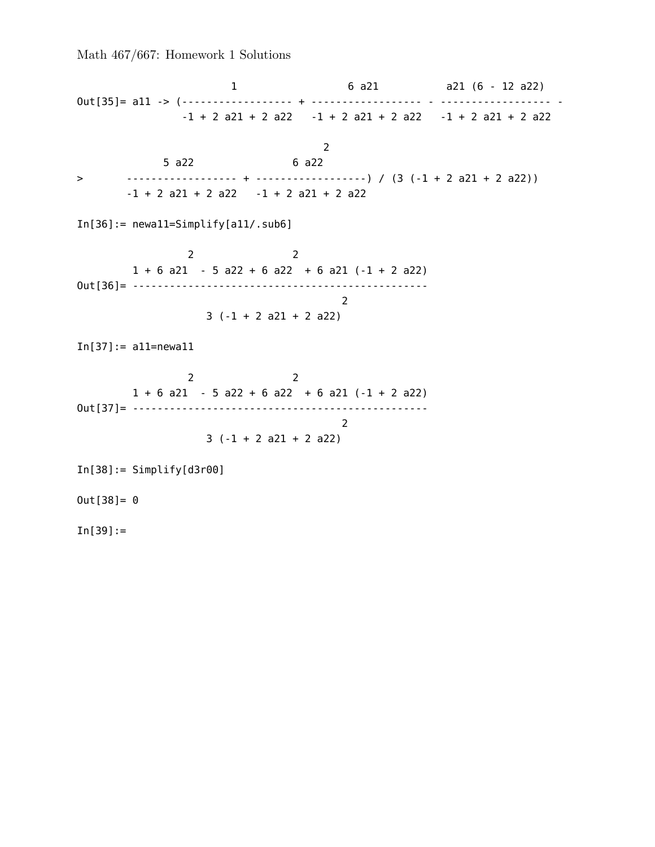1 6 a21 a21 (6 - 12 a22) Out[35]= a11 -> (------------------ + ------------------ - ------------------ -  $-1 + 2$  a21 + 2 a22  $-1 + 2$  a21 + 2 a22  $-1 + 2$  a21 + 2 a22 2 5 a22 6 a22 > ------------------ + ------------------) / (3 (-1 + 2 a21 + 2 a22))  $-1 + 2 a21 + 2 a22 -1 + 2 a21 + 2 a22$ In[36]:= newa11=Simplify[a11/.sub6] 2 2  $1 + 6$  a21 - 5 a22 + 6 a22 + 6 a21 (-1 + 2 a22) Out[36]= ------------------------------------------------ 2 3 (-1 + 2 a21 + 2 a22) In[37]:= a11=newa11 2 2  $1 + 6$  a21 - 5 a22 + 6 a22 + 6 a21 (-1 + 2 a22) Out[37]= ------------------------------------------------ 2 3 (-1 + 2 a21 + 2 a22)  $In[38]:= Simplyify[d3r00]$  $0$ ut $[38] = 0$  $In[39]:=$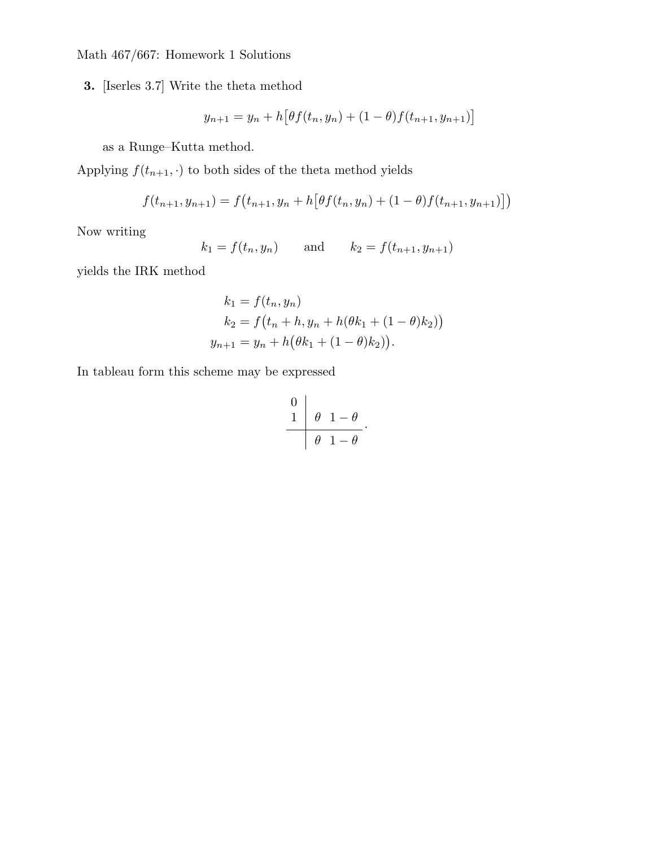**3.** [Iserles 3.7] Write the theta method

$$
y_{n+1} = y_n + h \big[ \theta f(t_n, y_n) + (1 - \theta) f(t_{n+1}, y_{n+1}) \big]
$$

as a Runge–Kutta method.

Applying  $f(t_{n+1}, \cdot)$  to both sides of the theta method yields

$$
f(t_{n+1}, y_{n+1}) = f(t_{n+1}, y_n + h[\theta f(t_n, y_n) + (1-\theta)f(t_{n+1}, y_{n+1})])
$$

Now writing

$$
k_1 = f(t_n, y_n)
$$
 and  $k_2 = f(t_{n+1}, y_{n+1})$ 

yields the IRK method

$$
k_1 = f(t_n, y_n)
$$
  
\n
$$
k_2 = f(t_n + h, y_n + h(\theta k_1 + (1 - \theta) k_2))
$$
  
\n
$$
y_{n+1} = y_n + h(\theta k_1 + (1 - \theta) k_2)).
$$

In tableau form this scheme may be expressed

$$
\begin{array}{c|c}\n0 \\
1 & \theta \\
\hline\n\end{array}\n\quad\n\begin{array}{c}\n1-\theta \\
\hline\n\end{array}
$$

.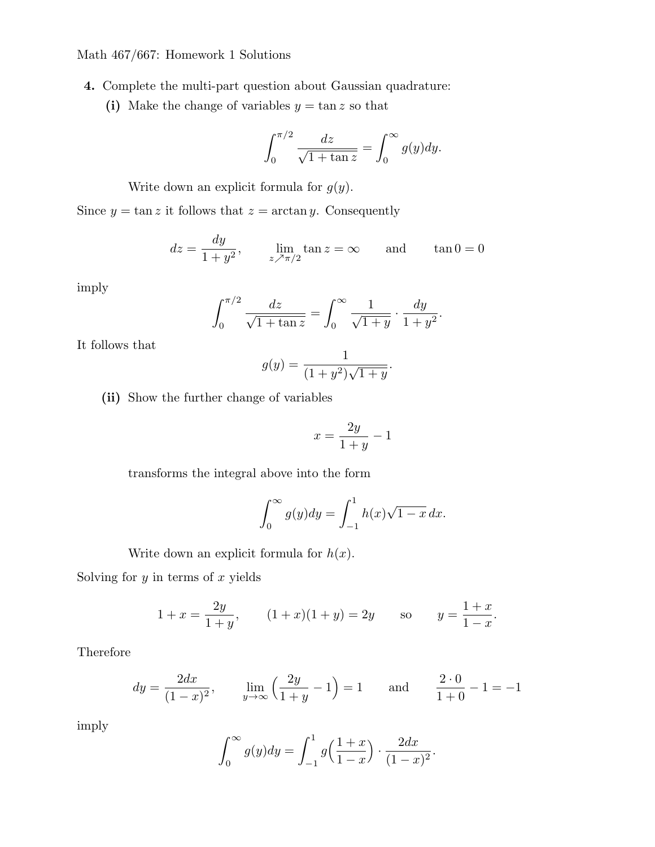- **4.** Complete the multi-part question about Gaussian quadrature:
	- (i) Make the change of variables  $y = \tan z$  so that

$$
\int_0^{\pi/2} \frac{dz}{\sqrt{1 + \tan z}} = \int_0^\infty g(y) dy.
$$

Write down an explicit formula for *g*(*y*).

Since  $y = \tan z$  it follows that  $z = \arctan y$ . Consequently

$$
dz = \frac{dy}{1+y^2}
$$
,  $\lim_{z \nearrow \pi/2} \tan z = \infty$  and  $\tan 0 = 0$ 

imply

$$
\int_0^{\pi/2} \frac{dz}{\sqrt{1 + \tan z}} = \int_0^\infty \frac{1}{\sqrt{1 + y}} \cdot \frac{dy}{1 + y^2}.
$$

It follows that

$$
g(y) = \frac{1}{(1+y^2)\sqrt{1+y}}.
$$

**(ii)** Show the further change of variables

$$
x = \frac{2y}{1+y} - 1
$$

transforms the integral above into the form

$$
\int_0^\infty g(y)dy = \int_{-1}^1 h(x)\sqrt{1-x}\,dx.
$$

Write down an explicit formula for *h*(*x*).

Solving for *y* in terms of *x* yields

$$
1 + x = \frac{2y}{1+y}
$$
,  $(1+x)(1+y) = 2y$  so  $y = \frac{1+x}{1-x}$ .

Therefore

$$
dy = \frac{2dx}{(1-x)^2}
$$
,  $\lim_{y \to \infty} \left(\frac{2y}{1+y} - 1\right) = 1$  and  $\frac{2 \cdot 0}{1+0} - 1 = -1$ 

imply

$$
\int_0^{\infty} g(y) dy = \int_{-1}^1 g\left(\frac{1+x}{1-x}\right) \cdot \frac{2dx}{(1-x)^2}.
$$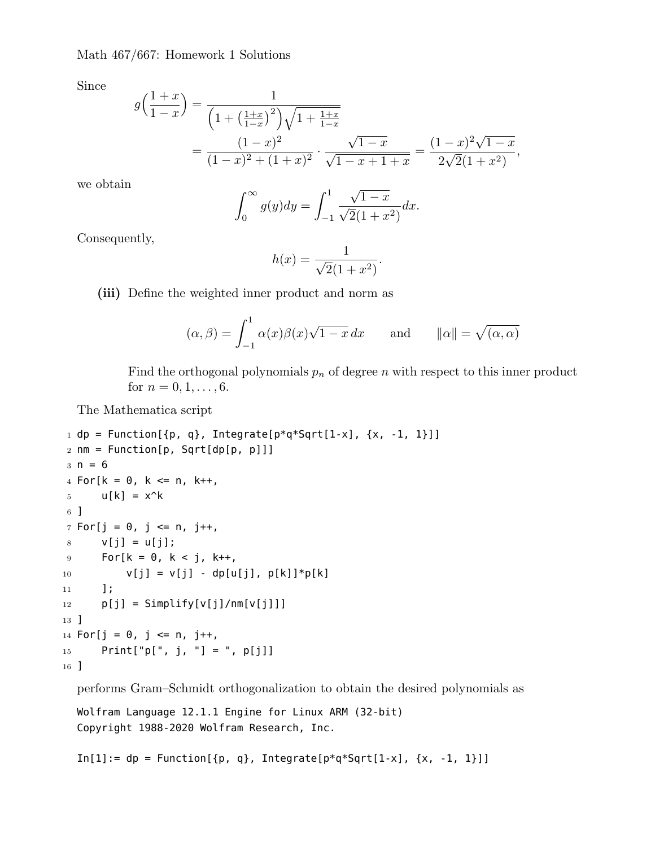Since

$$
g\left(\frac{1+x}{1-x}\right) = \frac{1}{\left(1+\left(\frac{1+x}{1-x}\right)^2\right)\sqrt{1+\frac{1+x}{1-x}}}
$$
  
= 
$$
\frac{(1-x)^2}{(1-x)^2+(1+x)^2} \cdot \frac{\sqrt{1-x}}{\sqrt{1-x+1+x}} = \frac{(1-x)^2\sqrt{1-x}}{2\sqrt{2}(1+x^2)},
$$

we obtain

$$
\int_0^{\infty} g(y) dy = \int_{-1}^1 \frac{\sqrt{1-x}}{\sqrt{2}(1+x^2)} dx.
$$

Consequently,

$$
h(x) = \frac{1}{\sqrt{2}(1+x^2)}.
$$

**(iii)** Define the weighted inner product and norm as

$$
(\alpha, \beta) = \int_{-1}^{1} \alpha(x)\beta(x)\sqrt{1-x} dx
$$
 and  $||\alpha|| = \sqrt{(\alpha, \alpha)}$ 

Find the orthogonal polynomials  $p_n$  of degree *n* with respect to this inner product for  $n = 0, 1, \ldots, 6$ .

The Mathematica script

```
1 dp = Function[{p, q}, Integrate[p*q*Sqrt[1-x], {x, -1, 1}]]
2 nm = Function[p, Sqrt[dp[p, p]]]
3 n = 64 For[k = 0, k <= n, k++,5 u[k] = x^k6 ]
7 For[j = 0, j \le n, j++)8 \text{ V}[j] = u[j];9 For[k = 0, k < j, k++,
10 v[j] = v[j] - dp[u[j], p[k]] * p[k]11 ];
12 p[j] = Simplify[v[j]/nm[v[j]]]
13 ]
14 For[j = 0, j <= n, j++,
15 Print["p[", j, "] = ", p[j]]
16 ]
```
performs Gram–Schmidt orthogonalization to obtain the desired polynomials as

Wolfram Language 12.1.1 Engine for Linux ARM (32-bit) Copyright 1988-2020 Wolfram Research, Inc.

 $In[1]:= dp = Function[\{p, q\}, Integrate[p*q*Sqrt[1-x], \{x, -1, 1\}]]$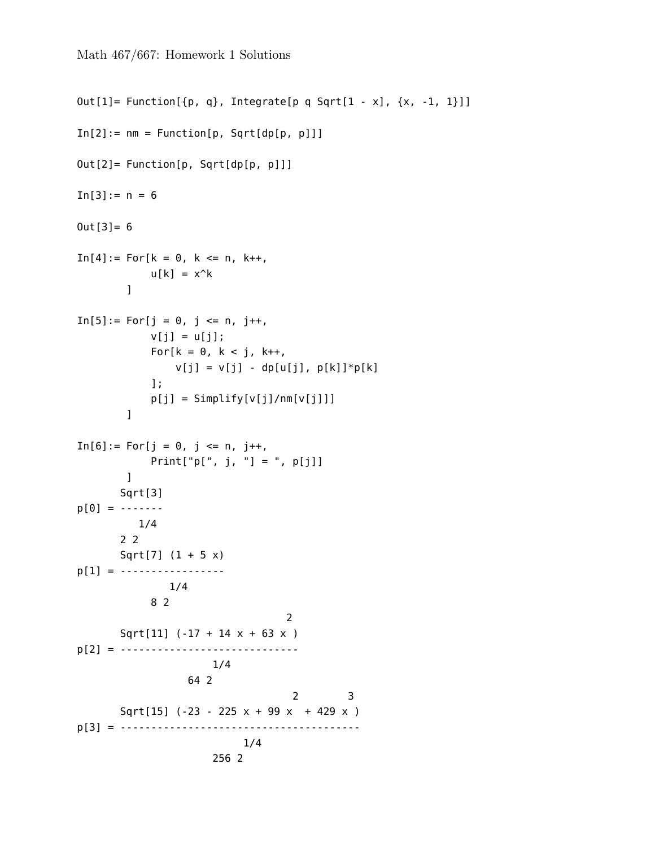```
Out[1]= Function[{p, q}, Integrate[p q Sqrt[1 - x], {x, -1, 1}]]
In[2]:= nm = Function[p, Sqrt[dp[p, p]]]Out[2]= Function[p, Sqrt[dp[p, p]]]
In[3]:= n = 60ut[3]= 6
In[4]:= For[k = 0, k <= n, k++,u[k] = x^k]
In[5]:= For[j = 0, j <= n, j++)v[j] = u[j];For[k = 0, k < j, k++,v[j] = v[j] - dp[u[j], p[k]] * p[k]];
           p[j] = Simplify[v[j]/nm[v[j]]]]
In[6]: = For[j = 0, j \leq n, j++)Print["p[", j, "] = ", p[j]]]
      Sqrt[3]
p[0] = -------
         1/4
       2 2
       Sqrt[7] (1 + 5 x)
p[1] = ------------------
              1/4
            8 2
                                 2
       Sqrt[11] (-17 + 14 x + 63 x )
p[2] = -----------------------------
                     1/4
                  64 2
                                  2 3
       Sqrt[15] (-23 - 225 x + 99 x + 429 x )
p[3] = ---------------------------------------
                          1/4
                      256 2
```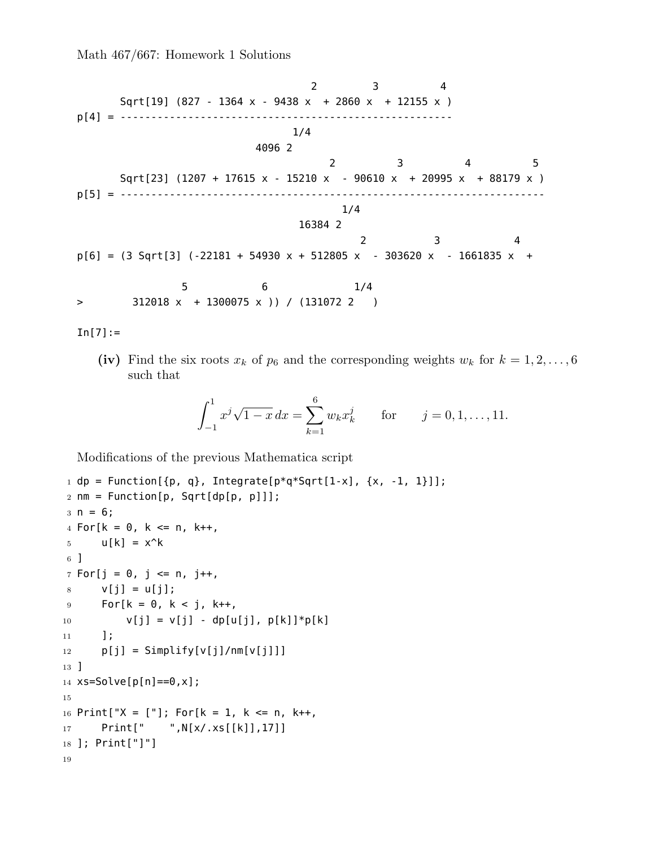2 3 4 Sqrt[19] (827 - 1364 x - 9438 x + 2860 x + 12155 x ) p[4] = ------------------------------------------------------ 1/4 4096 2 2 3 4 5 Sqrt[23] (1207 + 17615 x - 15210 x - 90610 x + 20995 x + 88179 x ) p[5] = --------------------------------------------------------------------- 1/4 16384 2 2 3 4  $p[6] = (3 \text{ Sqrt}[3] (-22181 + 54930 x + 512805 x - 303620 x - 1661835 x +$ 5 6 1/4 > 312018 x + 1300075 x )) / (131072 2 )

 $In [7] :=$ 

(iv) Find the six roots  $x_k$  of  $p_6$  and the corresponding weights  $w_k$  for  $k = 1, 2, \ldots, 6$ such that

$$
\int_{-1}^{1} x^j \sqrt{1-x} \, dx = \sum_{k=1}^{6} w_k x_k^j \qquad \text{for} \qquad j = 0, 1, \dots, 11.
$$

Modifications of the previous Mathematica script

```
1 dp = Function[{p, q}, Integrate[p*q*Sqrt[1-x], {x, -1, 1}]];
2 nm = Function[p, Sqrt[dp[p, p]]];
3 n = 6;4 For[k = 0, k <= n, k++,
5 \text{u[k]} = x^k6 ]
7 For[j = 0, j \leq n, j++)8 \text{ } v[j] = u[j];9 For[k = 0, k < j, k++,
10 v[j] = v[j] - dp[u[j], p[k]] * p[k]11 ];
12 p[j] = Simplify[v[j]/nm[v[j]]]
13 ]
14 xs=Solve[p[n]==0,x];
15
16 Print["X = ["]; For[k = 1, k <= n, k++,
17 Print[" ",N[x/.xs[[k]],17]]
18 ]; Print["]"]
19
```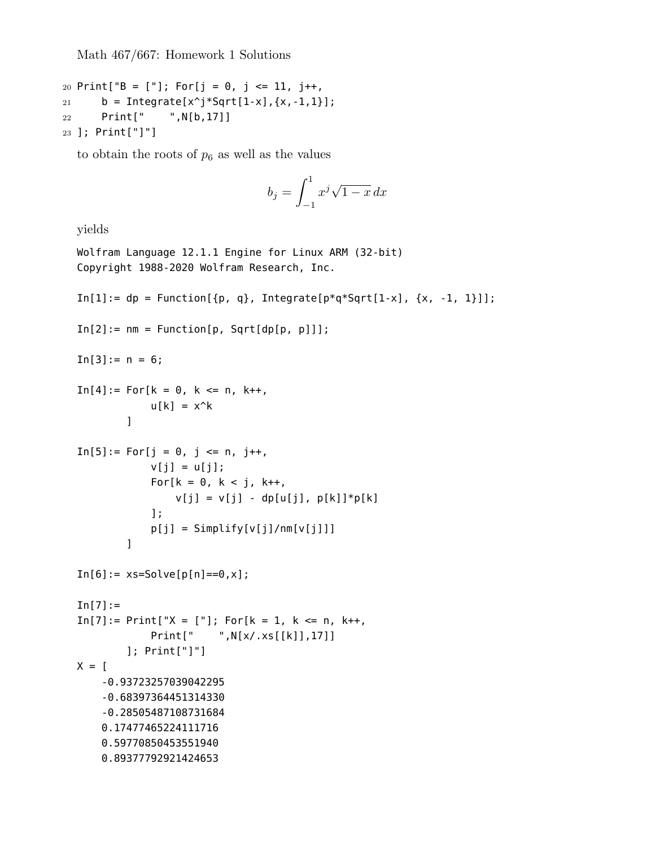```
20 Print["B = ["]; For[j = 0, j <= 11, j++,
21 b = Integrate[x^j*Sqrt[1-x], \{x, -1, 1\}];
22 Print[" ",N[b,17]]
23 ]; Print["]"]
```
to obtain the roots of  $p_6$  as well as the values

$$
b_j = \int_{-1}^1 x^j \sqrt{1-x} \, dx
$$

yields

```
Wolfram Language 12.1.1 Engine for Linux ARM (32-bit)
Copyright 1988-2020 Wolfram Research, Inc.
In[1]:= dp = Function[\{p, q\}, Integrate[p*q*Sqrt[1-x], \{x, -1, 1\}]];In[2]:= nm = Function[p, Sqrt[dp[p, p]]];In[3]:= n = 6;In[4]:= For[k = 0, k <= n, k++,u[k] = x^k\mathbf{I}In[5]:= For[j = 0, j <= n, j++)v[j] = u[j];For[k = 0, k < j, k++,v[j] = v[j] - dp[u[j], p[k]] * p[k]];
            p[j] = Simplify[v[j]/nm[v[j]]]]
In[6]: = xs = Solve[p[n] == 0, x];In [7] :=In[7]:= Print["X = ["]; For[k = 1, k <= n, k++,Print[" ",N[x/.xs[[k]],17]]
        ]; Print["]"]
X = [-0.93723257039042295
    -0.68397364451314330
    -0.28505487108731684
    0.17477465224111716
    0.59770850453551940
    0.89377792921424653
```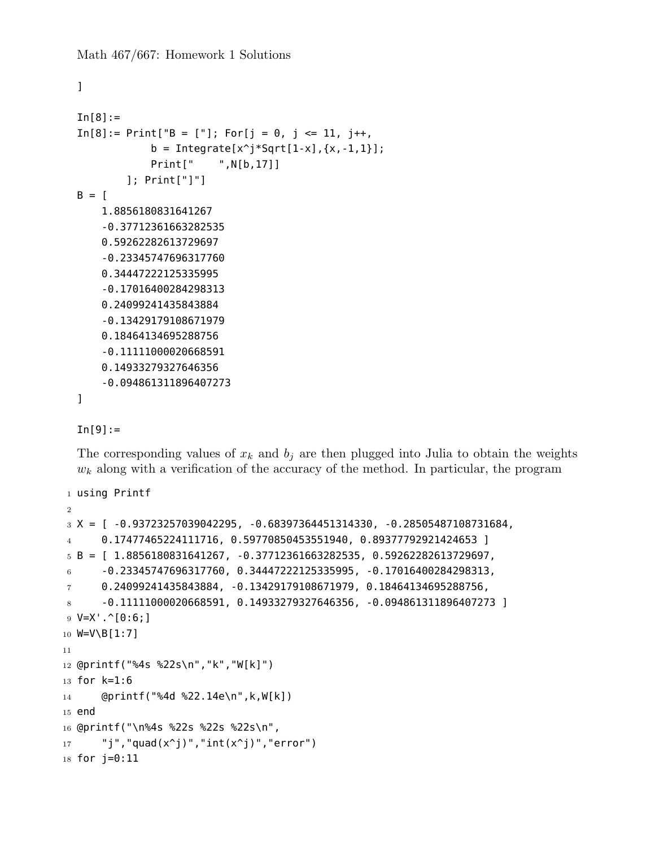```
]
In[8]:=In[8]:= Print["B = ["]; For[j = 0, j <= 11, j++)b = Integrate[x^j * Sqrt[1-x], {x, -1, 1}];
            Print[" ",N[b,17]]
        ]; Print["]"]
B = \Gamma1.8856180831641267
    -0.37712361663282535
    0.59262282613729697
    -0.23345747696317760
    0.34447222125335995
    -0.17016400284298313
    0.24099241435843884
    -0.13429179108671979
    0.18464134695288756
    -0.11111000020668591
    0.14933279327646356
    -0.094861311896407273
```
]

## $In[9] :=$

The corresponding values of  $x_k$  and  $b_j$  are then plugged into Julia to obtain the weights  $w_k$  along with a verification of the accuracy of the method. In particular, the program

```
1 using Printf
2
3 X = [ -0.93723257039042295, -0.68397364451314330, -0.28505487108731684,
4 0.17477465224111716, 0.59770850453551940, 0.89377792921424653 ]
5 B = [ 1.8856180831641267, -0.37712361663282535, 0.59262282613729697,6 -0.23345747696317760, 0.34447222125335995, -0.17016400284298313,
7 0.24099241435843884, -0.13429179108671979, 0.18464134695288756,
8 \qquad \qquad -0.11111000020668591, 0.14933279327646356, -0.094861311896407273 ]9 \text{ V=X}^{\text{T}} \cdot \hat{[0:6;]}10 W=V\B[1:7]
11
12 @printf("%4s %22s\n","k","W[k]")
13 for k=1:6
14 @printf("%4d %22.14e\n",k,W[k])
15 end
16 @printf("\n%4s %22s %22s %22s\n",
17 "j","quad(x^j)","int(x^j)","error")
18 for j=0:11
```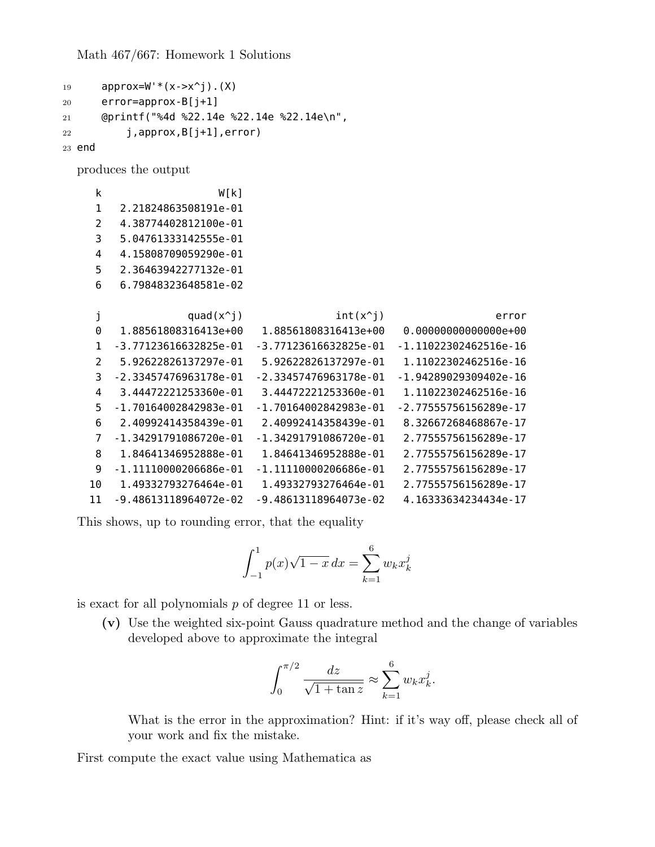```
19 approx=W'*(x->x^j).(X)
20 error=approx-B[j+1]
21 @printf("%4d %22.14e %22.14e %22.14e\n",
22 j,approx,B[j+1],error)
23 end
```
produces the output

| k  | W[k]                      |                           |                           |
|----|---------------------------|---------------------------|---------------------------|
| 1  | 2.21824863508191e-01      |                           |                           |
| 2  | 4.38774402812100e-01      |                           |                           |
| 3  | 5.04761333142555e-01      |                           |                           |
| 4  | 4.15808709059290e-01      |                           |                           |
| 5  | 2.36463942277132e-01      |                           |                           |
| 6  | 6.79848323648581e-02      |                           |                           |
|    |                           |                           |                           |
| j  | quad $(x^i)$              | $int(x^i)$                | error                     |
| 0  | 1.88561808316413e+00      | 1.88561808316413e+00      | $0.000000000000000+00$    |
| 1  | -3.77123616632825e-01     | $-3.77123616632825e - 01$ | $-1.11022302462516e-16$   |
| 2  | 5.92622826137297e-01      | 5.92622826137297e-01      | 1.11022302462516e-16      |
| 3  | $-2.33457476963178e - 01$ | $-2.33457476963178e - 01$ | $-1.94289029309402e - 16$ |
| 4  | 3.44472221253360e-01      | 3.44472221253360e-01      | 1.11022302462516e-16      |
| 5  | $-1.70164002842983e-01$   | $-1.70164002842983e-01$   | $-2.77555756156289e - 17$ |
| 6  | 2.40992414358439e-01      | 2.40992414358439e-01      | 8.32667268468867e-17      |
| 7  | -1.34291791086720e-01     | $-1.34291791086720e - 01$ | 2.77555756156289e-17      |
| 8  | 1.84641346952888e-01      | 1.84641346952888e-01      | 2.77555756156289e-17      |
| 9  | $-1.11110000206686e - 01$ | $-1.11110000206686e - 01$ | 2.77555756156289e-17      |
| 10 | 1.49332793276464e-01      | 1.49332793276464e-01      | 2.77555756156289e-17      |
| 11 | -9.48613118964072e-02     | -9.48613118964073e-02     | 4.16333634234434e-17      |

This shows, up to rounding error, that the equality

$$
\int_{-1}^{1} p(x)\sqrt{1-x} \, dx = \sum_{k=1}^{6} w_k x_k^j
$$

is exact for all polynomials *p* of degree 11 or less.

**(v)** Use the weighted six-point Gauss quadrature method and the change of variables developed above to approximate the integral

$$
\int_0^{\pi/2} \frac{dz}{\sqrt{1 + \tan z}} \approx \sum_{k=1}^6 w_k x_k^j.
$$

What is the error in the approximation? Hint: if it's way off, please check all of your work and fix the mistake.

First compute the exact value using Mathematica as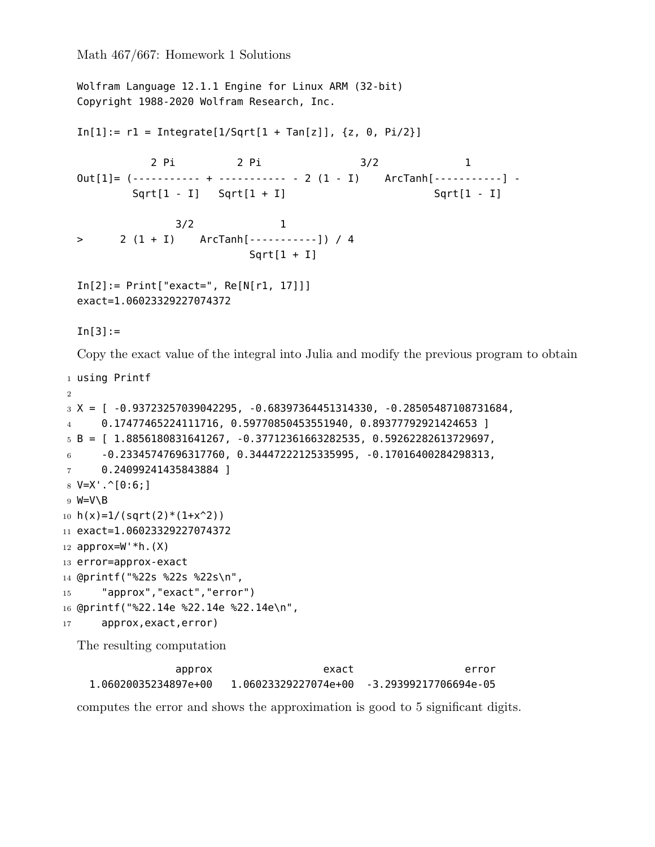```
Wolfram Language 12.1.1 Engine for Linux ARM (32-bit)
  Copyright 1988-2020 Wolfram Research, Inc.
  In[1]: = r1 = Integrate[1/Sqrt[1 + Tan[z]], {z, 0, Pi/2}]2 Pi 3/2 1
  Out[1] = (----------- + ----------- - 2 (1 - I) ArcTanh[-----------] -
          Sqrt[1 - I] Sqrt[1 + I] Sqrt[1 - I]3/2 1
  > 2 (1 + I) ArcTanh[-----------]) / 4
                            Sqrt[1 + I]In[2]:= Print["exact=", Re[N[r1, 17]]]
  exact=1.06023329227074372
  In[3]:=Copy the exact value of the integral into Julia and modify the previous program to obtain
1 using Printf
2
3 X = [ -0.93723257039042295, -0.68397364451314330, -0.28505487108731684,
4 0.17477465224111716, 0.59770850453551940, 0.89377792921424653 ]
5 B = [ 1.8856180831641267, -0.37712361663282535, 0.59262282613729697,6 -0.23345747696317760, 0.34447222125335995, -0.17016400284298313,
7 0.24099241435843884 ]
8 \text{ V=X}^{\text{T}}. \hat{[0:6;1]}9 W=V\B
10 h(x)=1/(sqrt(2)*(1+x^2))11 exact=1.06023329227074372
12 approx=W' * h. (X)13 error=approx-exact
14 @printf("%22s %22s %22s\n",
15 "approx","exact","error")
16 @printf("%22.14e %22.14e %22.14e\n",
17 approx,exact,error)
  The resulting computation
                approx exact error
```
1.06020035234897e+00 1.06023329227074e+00 -3.29399217706694e-05

computes the error and shows the approximation is good to 5 significant digits.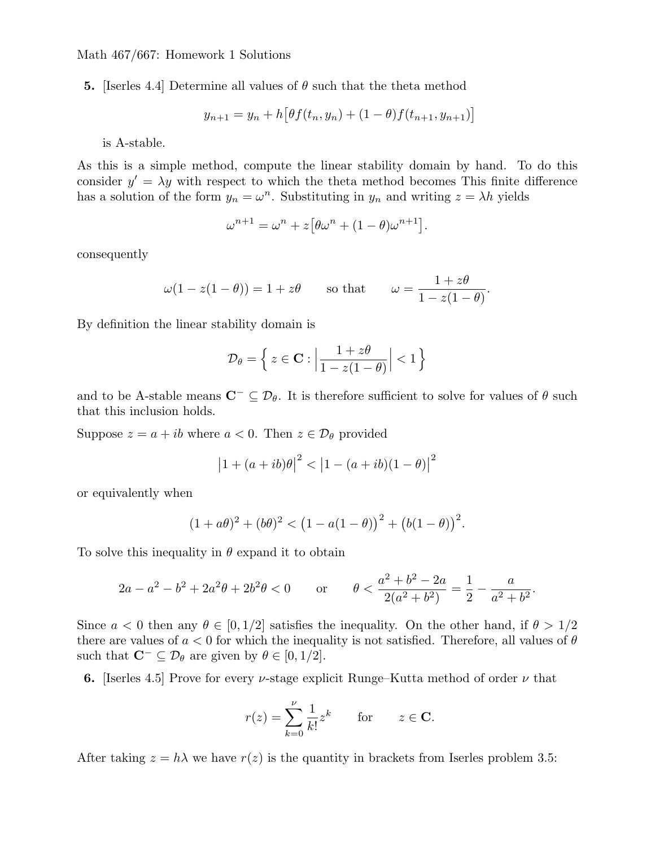**5.** [Iserles 4.4] Determine all values of *θ* such that the theta method

$$
y_{n+1} = y_n + h \big[ \theta f(t_n, y_n) + (1 - \theta) f(t_{n+1}, y_{n+1}) \big]
$$

is A-stable.

As this is a simple method, compute the linear stability domain by hand. To do this consider  $y' = \lambda y$  with respect to which the theta method becomes This finite difference has a solution of the form  $y_n = \omega^n$ . Substituting in  $y_n$  and writing  $z = \lambda h$  yields

$$
\omega^{n+1} = \omega^n + z \big[\theta \omega^n + (1 - \theta)\omega^{n+1}\big].
$$

consequently

$$
\omega(1 - z(1 - \theta)) = 1 + z\theta
$$
 so that  $\omega = \frac{1 + z\theta}{1 - z(1 - \theta)}$ .

By definition the linear stability domain is

$$
\mathcal{D}_{\theta} = \left\{ z \in \mathbf{C} : \left| \frac{1 + z\theta}{1 - z(1 - \theta)} \right| < 1 \right\}
$$

and to be A-stable means  $\mathbf{C}^-\subseteq\mathcal{D}_{\theta}$ . It is therefore sufficient to solve for values of  $\theta$  such that this inclusion holds.

Suppose  $z = a + ib$  where  $a < 0$ . Then  $z \in \mathcal{D}_{\theta}$  provided

$$
|1 + (a + ib)\theta|^2 < |1 - (a + ib)(1 - \theta)|^2
$$

or equivalently when

$$
(1+a\theta)^{2} + (b\theta)^{2} < (1-a(1-\theta))^{2} + (b(1-\theta))^{2}.
$$

To solve this inequality in *θ* expand it to obtain

$$
2a - a^2 - b^2 + 2a^2\theta + 2b^2\theta < 0 \qquad \text{or} \qquad \theta < \frac{a^2 + b^2 - 2a}{2(a^2 + b^2)} = \frac{1}{2} - \frac{a}{a^2 + b^2}.
$$

Since  $a < 0$  then any  $\theta \in [0, 1/2]$  satisfies the inequality. On the other hand, if  $\theta > 1/2$ there are values of  $a < 0$  for which the inequality is not satisfied. Therefore, all values of  $\theta$ such that  $\mathbf{C}^- \subseteq \mathcal{D}_{\theta}$  are given by  $\theta \in [0, 1/2]$ .

**6.** [Iserles 4.5] Prove for every *ν*-stage explicit Runge–Kutta method of order *ν* that

$$
r(z) = \sum_{k=0}^{\nu} \frac{1}{k!} z^k \quad \text{for} \quad z \in \mathbf{C}.
$$

After taking  $z = h\lambda$  we have  $r(z)$  is the quantity in brackets from Iserles problem 3.5: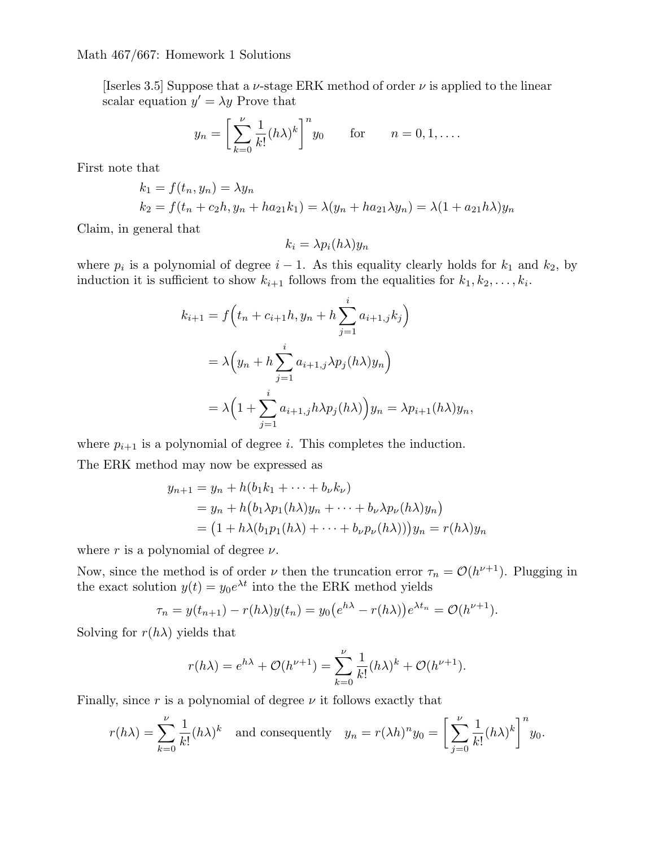[Iserles 3.5] Suppose that a  $\nu$ -stage ERK method of order  $\nu$  is applied to the linear scalar equation  $y' = \lambda y$  Prove that

$$
y_n = \left[\sum_{k=0}^{\nu} \frac{1}{k!} (h\lambda)^k\right]^n y_0 \quad \text{for} \quad n = 0, 1, \dots
$$

First note that

$$
k_1 = f(t_n, y_n) = \lambda y_n
$$
  
\n
$$
k_2 = f(t_n + c_2h, y_n + ha_{21}k_1) = \lambda(y_n + ha_{21}\lambda y_n) = \lambda(1 + a_{21}h\lambda)y_n
$$

Claim, in general that

$$
k_i = \lambda p_i(h\lambda) y_n
$$

where  $p_i$  is a polynomial of degree  $i - 1$ . As this equality clearly holds for  $k_1$  and  $k_2$ , by induction it is sufficient to show  $k_{i+1}$  follows from the equalities for  $k_1, k_2, \ldots, k_i$ .

$$
k_{i+1} = f\left(t_n + c_{i+1}h, y_n + h\sum_{j=1}^i a_{i+1,j}k_j\right)
$$
  
=  $\lambda \left(y_n + h\sum_{j=1}^i a_{i+1,j}\lambda p_j(h\lambda)y_n\right)$   
=  $\lambda \left(1 + \sum_{j=1}^i a_{i+1,j}h\lambda p_j(h\lambda)\right)y_n = \lambda p_{i+1}(h\lambda)y_n,$ 

where  $p_{i+1}$  is a polynomial of degree *i*. This completes the induction.

The ERK method may now be expressed as

$$
y_{n+1} = y_n + h(b_1k_1 + \dots + b_\nu k_\nu)
$$
  
=  $y_n + h(b_1\lambda p_1(h\lambda)y_n + \dots + b_\nu \lambda p_\nu(h\lambda)y_n)$   
=  $(1 + h\lambda(b_1p_1(h\lambda) + \dots + b_\nu p_\nu(h\lambda)))y_n = r(h\lambda)y_n$ 

where  $r$  is a polynomial of degree  $\nu$ .

Now, since the method is of order *ν* then the truncation error  $\tau_n = \mathcal{O}(h^{\nu+1})$ . Plugging in the exact solution  $y(t) = y_0 e^{\lambda t}$  into the the ERK method yields

$$
\tau_n = y(t_{n+1}) - r(h\lambda)y(t_n) = y_0(e^{h\lambda} - r(h\lambda))e^{\lambda t_n} = \mathcal{O}(h^{\nu+1}).
$$

Solving for  $r(h\lambda)$  yields that

$$
r(h\lambda) = e^{h\lambda} + \mathcal{O}(h^{\nu+1}) = \sum_{k=0}^{\nu} \frac{1}{k!} (h\lambda)^k + \mathcal{O}(h^{\nu+1}).
$$

Finally, since *r* is a polynomial of degree *ν* it follows exactly that

$$
r(h\lambda) = \sum_{k=0}^{\nu} \frac{1}{k!} (h\lambda)^k \quad \text{and consequently} \quad y_n = r(\lambda h)^n y_0 = \left[ \sum_{j=0}^{\nu} \frac{1}{k!} (h\lambda)^k \right]^n y_0.
$$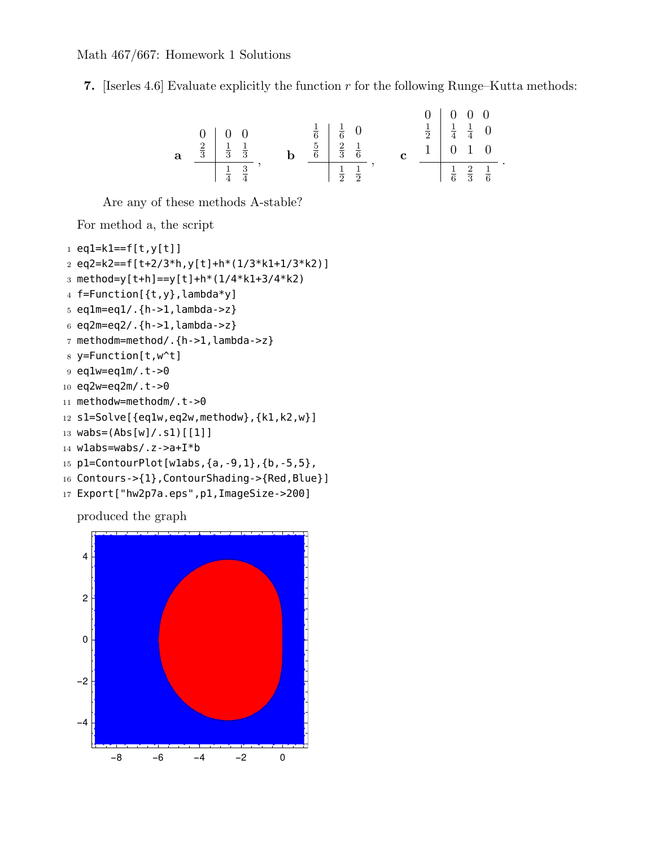**7.** [Iserles 4.6] Evaluate explicitly the function *r* for the following Runge–Kutta methods:



Are any of these methods A-stable?

For method a, the script

```
1 eq1=k1==f[t,y[t]]
2 eq2=k2==f[t+2/3*h,y[t]+h*(1/3*k1+1/3*k2)]
3 method=y[t+h]==y[t]+h*(1/4*k1+3/4*k2)
4 f=Function[{t,y},lambda*y]
5 eq1m=eq1/.{h->1,lambda->z}
6 eq2m=eq2/.{h-1,lambda->z}
7 methodm=method/.{h->1,lambda->z}
8 y=Function[t,w^t]
9 eq1w=eq1m/.t->0
10 eq2w=eq2m/.t->0
11 methodw=methodm/.t->0
12 s1=Solve[{eq1w,eq2w,methodw},{k1,k2,w}]
13 wabs=(Abs[w]/.s1)[[1]]
14 w1abs=wabs/.z->a+I*b
15 p1=ContourPlot[w1abs,{a,-9,1},{b,-5,5},
16 Contours->{1}, ContourShading->{Red, Blue}]
17 Export["hw2p7a.eps",p1,ImageSize->200]
```
produced the graph

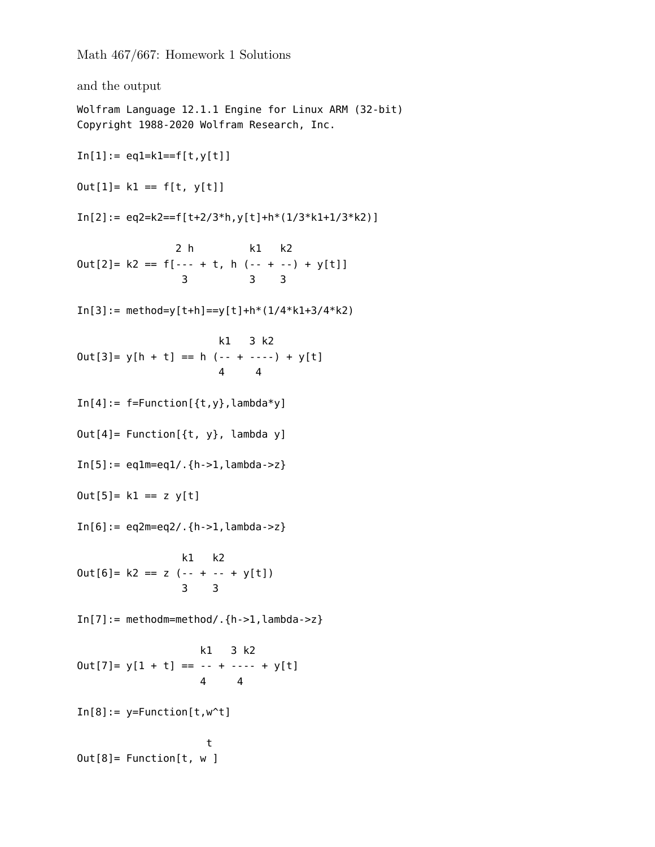and the output Wolfram Language 12.1.1 Engine for Linux ARM (32-bit) Copyright 1988-2020 Wolfram Research, Inc.  $In[1]:= eq1=k1==f[t,y[t]]$  $Out[1] = k1 == f[t, y[t]]$  $In[2]: = eq2=k2==f[ t+2/3*h, y[t]+h*(1/3*k1+1/3*k2) ]$ 2 h k1 k2  $Out[2] = k2 == f[-- + t, h(-- + -) + y[t]]$ 3 3 3  $In[3]:= method=y[t+h]=-y[t]+h*(1/4*k1+3/4*k2)$ k1 3 k2  $Out[3] = y[h + t] == h (- + - - -) + y[t]$ 4 4  $In[4]: = f=Function[\{t,y\}$ , lambda\*y]  $Out[4] = Function[\{t, y\},$  lambda y]  $In [5]: = eq1m = eq1/ . {h > 1, lambda > z}$  $Out[5] = k1 == z \ y[t]$  $In [6]: = eq2m = eq2/ . {h > 1, lambda > z}$ k1 k2  $Out[6] = k2 == z (- - + - - + y[t])$ 3 3  $In[7]:=  $methodm=  $method/ . {h-1, lambda->z}$$$ k1 3 k2  $0ut[7] = y[1 + t] == - + - - - + y[t]$ 4 4  $In[8]:=$  y=Function $[t,w^t]$ t Out[8]= Function[t, w ]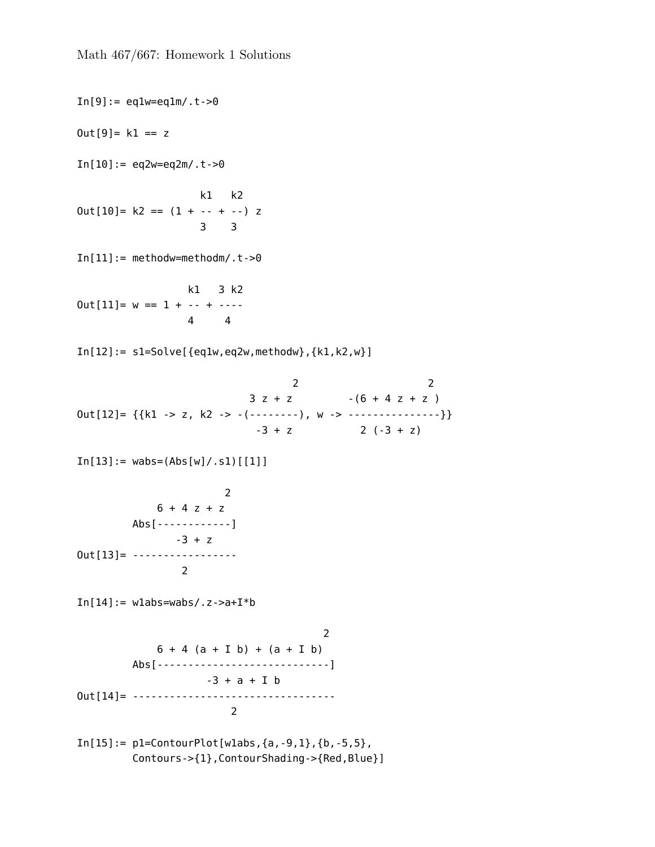$In[9]:=$  eqlw=eqlm/.t->0  $0$ ut $[9] = k1 == z$  $In[10]:= eq2w=eq2m/.t->0$ k1 k2  $Out[10]= k2 == (1 + - - + -) z$ 3 3  $In [11]:= methodw=methodm/.t->0$ k1 3 k2  $Out[11]= w == 1 + - - + - - -$ 4 4  $In[12]: = s1 = Solve[\{eq1w, eq2w, methodw\}, \{k1, k2, w\}]$ 2 2  $3 z + z$   $-(6 + 4 z + z)$ Out[12]= {{k1 -> z, k2 -> -(--------), w -> -----------------}}  $-3 + z$  2  $(-3 + z)$  $In[13]:= wabs = (Abs[w]/.s1)$  [[1]] 2  $6 + 4 z + z$ Abs[------------]  $-3 + z$ Out[13]= ----------------- 2 In $[14] :=$  wlabs=wabs/.z->a+I\*b  $\mathcal{L}$  $6 + 4 (a + I b) + (a + I b)$ Abs[----------------------------] -3 + a + I b Out[14]= --------------------------------- 2  $In[15]:= p1=ContourPlot[wlabs, {a, -9, 1}, {b, -5, 5},$ Contours->{1},ContourShading->{Red,Blue}]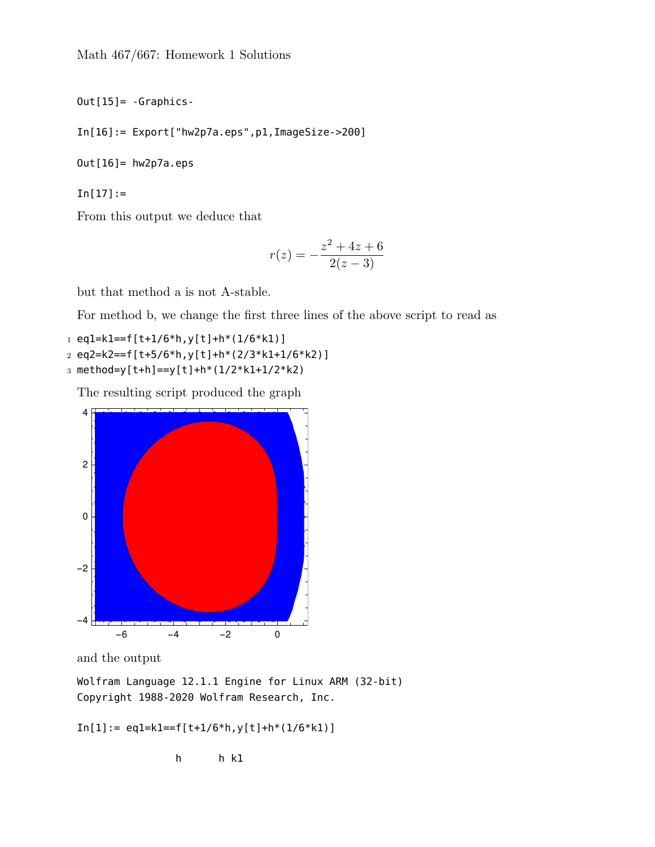```
Out[15]= -Graphics-
```
 $In[16]: = Export['hw2p7a.eps", p1, ImageSize->200]$ 

Out[16]= hw2p7a.eps

 $In[17]:=$ 

From this output we deduce that

$$
r(z) = -\frac{z^2 + 4z + 6}{2(z - 3)}
$$

but that method a is not A-stable.

For method b, we change the first three lines of the above script to read as

 $1$  eql=kl==f[t+1/6\*h,y[t]+h\*(1/6\*k1)] 2 eq2=k2==f[t+5/6\*h,y[t]+h\*(2/3\*k1+1/6\*k2)]

3 method=y[t+h]==y[t]+h\*(1/2\*k1+1/2\*k2)

The resulting script produced the graph



and the output

Wolfram Language 12.1.1 Engine for Linux ARM (32-bit) Copyright 1988-2020 Wolfram Research, Inc.

 $In[1]:= eq1=k1==f[t+1/6*h,y[t]+h*(1/6*k1)]$ 

h h k1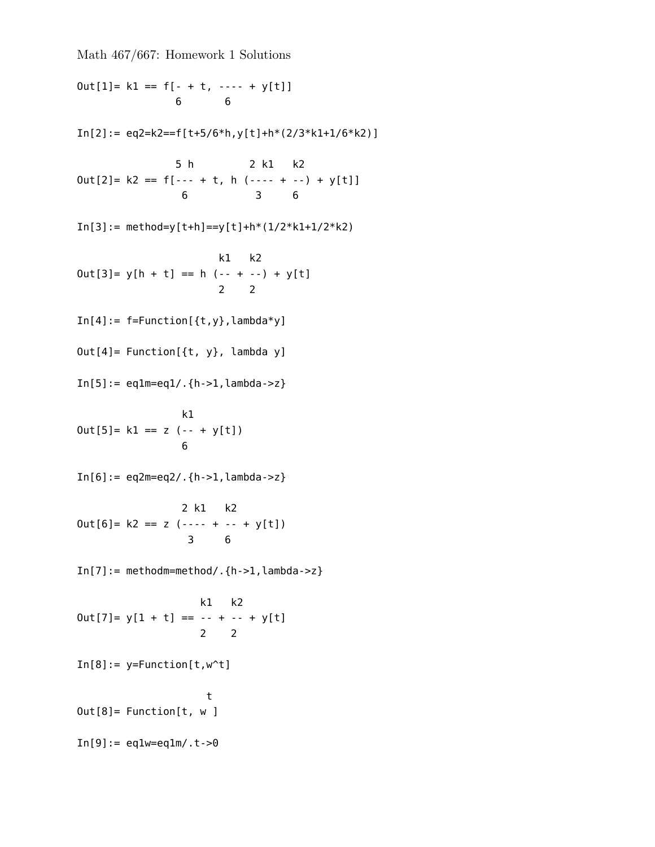$Out[1] = k1 == f[- + t, --- + y[t]]$ 6 6  $In[2]: = eq2=k2==f[ t+5/6*h, y[t]+h*(2/3*k1+1/6*k2)]$ 5 h 2 k1 k2  $Out[2] = k2 == f[-- + t, h(---- + -) + y[t]]$ 6 3 6  $In[3]: = method=y[t+h]==y[t]+h*(1/2*k1+1/2*k2)$ k1 k2  $Out[3] = y[h + t] == h (- + - -) + y[t]$ 2 2  $In[4]: = f=Function[\{t,y\}$ , lambda\*y] Out[4]= Function[{t, y}, lambda y]  $In [5]: = eq1m = eq1/ . {h - 1, lambda - > z}$ k1  $Out[5] = k1 == z (- + y[t])$ 6  $In [6]: = eq2m = eq2/ . {h > 1, lambda > z}$ 2 k1 k2  $Out[6] = k2 == z (---- + --- + y[t])$ 3 6  $In [7]: = methodm = method/ .{h->1, lambda->z}$ k1 k2  $0ut[7] = y[1 + t] == - + - +$  + y[t] 2 2  $In[8]:=$  y=Function $[t, w^t]$ t Out[8]= Function[t, w ]  $In[9]:=$  eqlw=eqlm/.t->0

Math 467/667: Homework 1 Solutions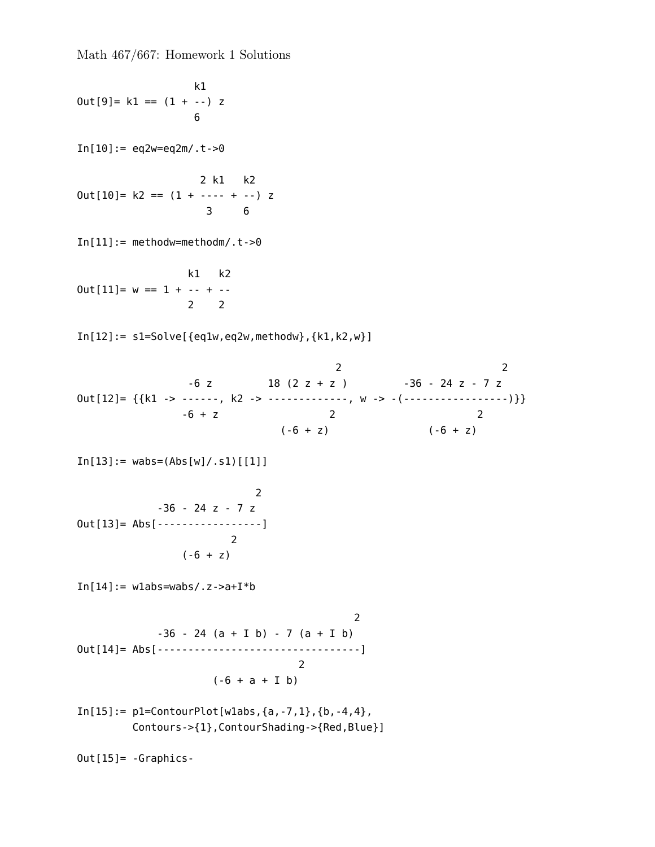k1  $Out[9] = k1 == (1 + -) z$ 6  $In[10]:= eq2w=eq2m/.t->0$ 2 k1 k2  $Out[10] = k2 == (1 + --- + -) z$ 3 6  $In [11]:= methodw=methodm/.t->0$ k1 k2  $Out[11] = w == 1 + - - + -$ 2 2  $In[12]: = s1 = Solve$   $[eq1w, eq2w, methodw$ ,  $[k1, k2, w]$ 2 2  $-6$  z 18 (2 z + z )  $-36 - 24$  z - 7 z Out[12]= {{k1 -> ------, k2 -> -------------, w -> -(--------------------)}}<br>-6 + z 2  $-6 + z$  2 2  $(-6 + z)$   $(-6 + z)$  $In[13]: = wabs = (Abs[w]/.s1)$  [[1]] 2  $-36 - 24z - 7z$ Out[13]= Abs[-----------------] 2  $(-6 + z)$ In $[14] :=$  wlabs=wabs/.z->a+I\*b 2  $-36 - 24 (a + I b) - 7 (a + I b)$ Out[14]= Abs[---------------------------------] 2  $(-6 + a + I b)$  $In[15]:= p1=ContourPlot[wlabs, {a, -7, 1}, {b, -4, 4},$ Contours->{1},ContourShading->{Red,Blue}] Out[15]= -Graphics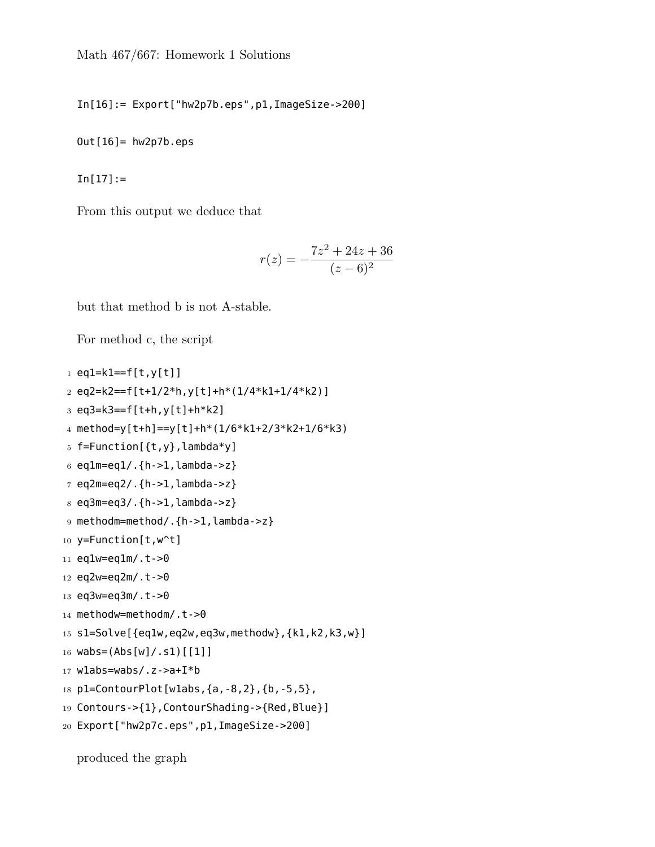In[16]:= Export["hw2p7b.eps",p1,ImageSize->200]

 $Out[16] = hw2p7b.eps$ 

In[17]:=

From this output we deduce that

$$
r(z) = -\frac{7z^2 + 24z + 36}{(z - 6)^2}
$$

but that method b is not A-stable.

```
For method c, the script
```

```
1 eq1=k1==f[t,y[t]]
2 eq2=k2==f[t+1/2*h,y[t]+h*(1/4*k1+1/4*k2)]
3 eq3=k3==f[t+h,y[t]+h*k2]
4 method=y[t+h]==y[t]+h*(1/6*k1+2/3*k2+1/6*k3)
5 f=Function[{t,y},lambda*y]
6 eq1m=eq1/.{h->1,lambda->z}
7 eq2m=eq2/.{h->1,lambda->z}
8 eq3m=eq3/.{h->1,lambda->z}
9 methodm=method/.{h->1,lambda->z}
10 y=Function[t,w^t]
11 eq1w=eq1m/.t->0
12 eq2w=eq2m/.t->0
13 eq3w=eq3m/.t->0
14 methodw=methodm/.t->0
15 s1=Solve[{eq1w,eq2w,eq3w,methodw},{k1,k2,k3,w}]
16 wabs=(Abs[w]/.s1)[[1]]17 w1abs=wabs/.z->a+I*b
18 p1=ContourPlot[w1abs,{a,-8,2},{b,-5,5},
19 Contours->{1},ContourShading->{Red,Blue}]
20 Export["hw2p7c.eps",p1,ImageSize->200]
```
produced the graph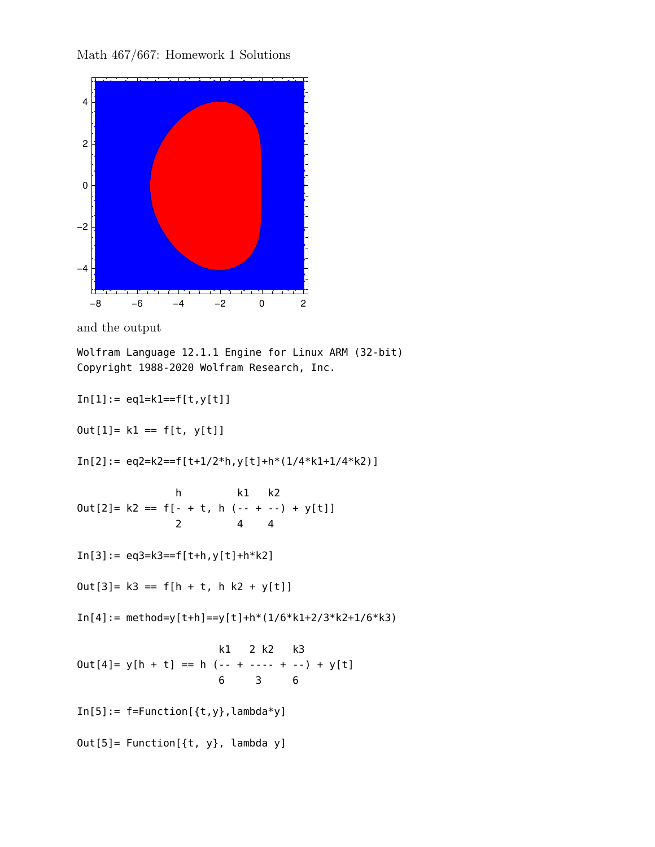



Wolfram Language 12.1.1 Engine for Linux ARM (32-bit) Copyright 1988-2020 Wolfram Research, Inc.

 $In[1]:= eq1=k1==f[t,y[t]]$  $Out[1] = k1 == f[t, y[t]]$  $In[2]:=eq2=k2==f[t+1/2*h,y[t]+h*(1/4*k1+1/4*k2)]$ h k1 k2  $Out[2] = k2 == f[- + t, h(- - + - -) + y[t]]$ 2 4 4  $In[3]:= eq3=k3==f[ t+h,y[t]+h*k2]$  $Out[3] = k3 == f[h + t, h k2 + y[t]]$  $In[4]:= method=y[t+h]==y[t]+h*(1/6*k1+2/3*k2+1/6*k3)$ k1 2 k2 k3  $Out[4] = y[h + t] == h (- + - - - + - -) + y[t]$ 6 3 6  $In[5]: = f=Function[\{t,y\},lambda]$  mbda\*y] Out[5]= Function[{t, y}, lambda y]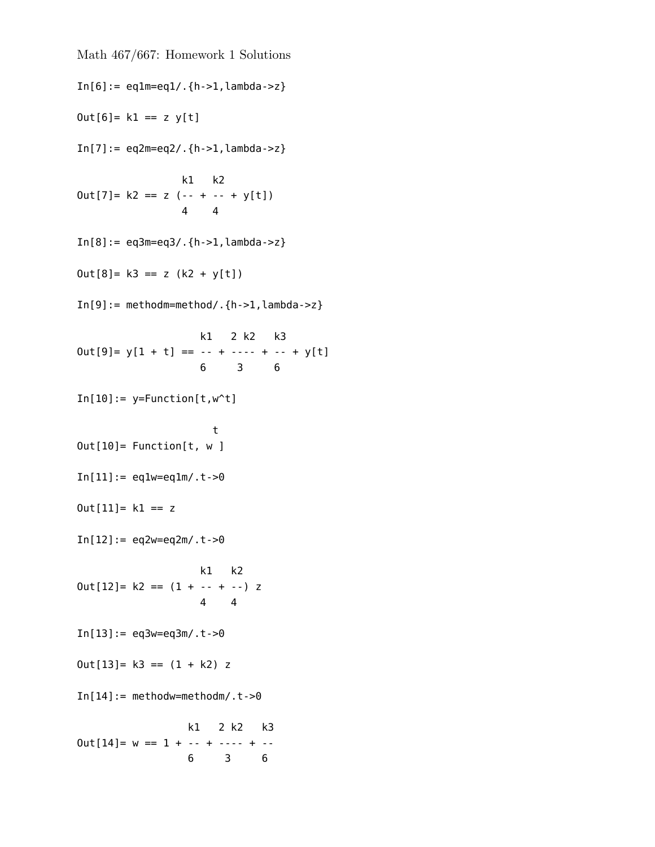```
Math 467/667: Homework 1 Solutions
In [6]: = eq1m = eq1/ . {h > 1, lambda > z}Out[6] = k1 == z y[t]In[7]:= eq2m=eq2/ .{h->1,lambda->z}k1 k2
Out[7] = k2 == z (- - + - - + y[t])4 4
In [8]: = eq3m = eq3/ . {h > 1, lambda > z}Out[8] = k3 == z (k2 + y[t])In[9]:=Methodm=method/ .{h->1,lambda->z}k1 2 k2 k3
0ut[9] = y[1 + t] == -- + ---- + -- + y[t]6 3 6
In[10]:= y=Function[t,w^t]t
Out[10]= Function[t, w ]
In [11]: = eq1w = eq1m/. t->0Out[11] = k1 == zIn[12]:= eq2w=eq2m/.t->0
                   k1 k2
Out[12] = k2 == (1 + - - + -) z4 4
In[13]:= eq3w=eq3m/.t->0Out[13] = k3 == (1 + k2) zIn [14]:= methodw=methodm/.t->0k1 2 k2 k3
Out[14] = w == 1 + - - + - - - + - -6 3 6
```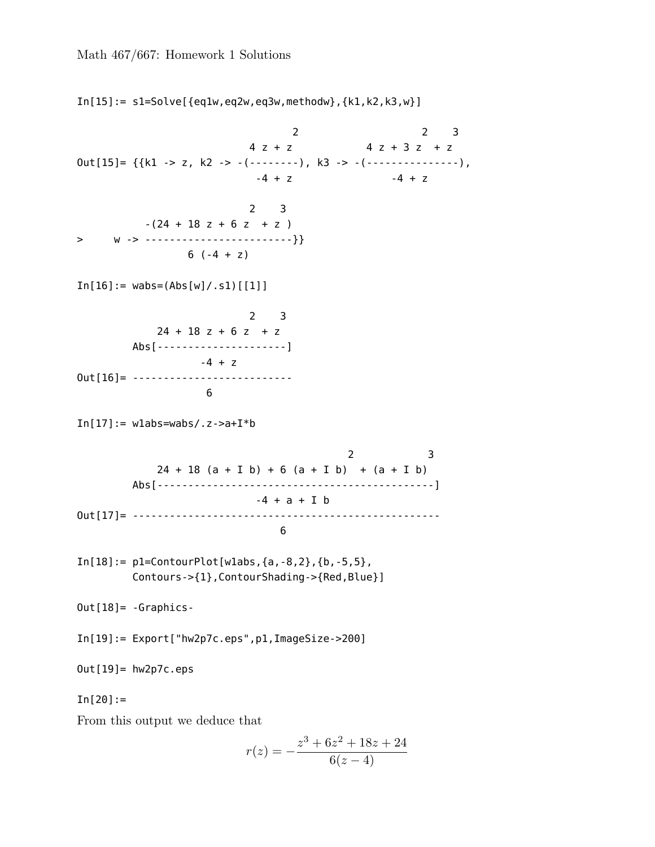$In[15]: = s1 = Solve$   $[eq1w, eq2w, eq3w, methodw, ft1, k2, k3, w]$ 2 2 3  $4 z + z$   $4 z + 3 z + z$ Out[15]= {{k1 -> z, k2 -> -(--------), k3 -> -(---------------),  $-4 + z$  -4 + z 2 3  $-(24 + 18 z + 6 z + z)$ > w -> ------------------------}} 6  $(-4 + z)$  $In[16]: = wabs = (Abs[w]/.s1)[[1]]$ 2 3  $24 + 18$  z + 6 z + z Abs[---------------------]  $-4 + z$ 0ut [16] = ----------------------------6  $In[17]:=$  wlabs=wabs/.z->a+I\*b 2 3  $24 + 18$  (a + I b) + 6 (a + I b) + (a + I b) Abs[---------------------------------------------]  $-4 + a + I b$ Out[17]= -------------------------------------------------- 6  $In [18]: = p1=ContourPlot[wlabs, {a, -8, 2}, {b, -5, 5},$ Contours->{1},ContourShading->{Red,Blue}] Out[18]= -Graphics-In[19]:= Export["hw2p7c.eps",p1,ImageSize->200] Out[19]= hw2p7c.eps  $In[20] :=$ From this output we deduce that *r*(*z*) = *−*  $z^3 + 6z^2 + 18z + 24$ 

 $6(z-4)$